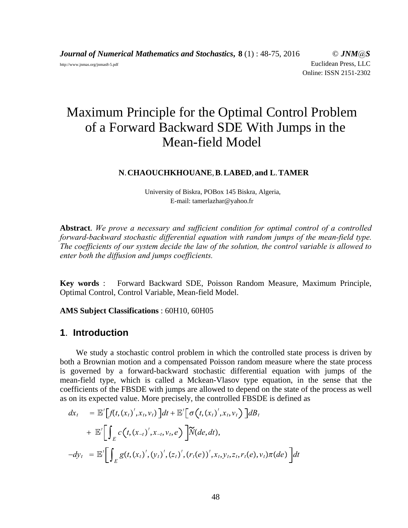*Journal of Numerical Mathematics and Stochastics***, 8** (1) : 48-75, 2016 © *JNM@S* http://www.jnmas.org/jnmas8-5.pdf Euclidean Press, LLC Online: ISSN 2151-2302

# Maximum Principle for the Optimal Control Problem of a Forward Backward SDE With Jumps in the Mean-field Model

#### **N**.**CHAOUCHKHOUANE**,**B**.**LABED**,**and L**.**TAMER**

University of Biskra, POBox 145 Biskra, Algeria, E-mail: tamerlazhar@yahoo.fr

**Abstract**. *We prove a necessary and sufficient condition for optimal control of a controlled forward-backward stochastic differential equation with random jumps of the mean-field type. The coefficients of our system decide the law of the solution, the control variable is allowed to enter both the diffusion and jumps coefficients.*

**Key words** : Forward Backward SDE, Poisson Random Measure, Maximum Principle, Optimal Control, Control Variable, Mean-field Model.

#### **AMS Subject Classifications** : 60H10, 60H05

### **1**. **Introduction**

We study a stochastic control problem in which the controlled state process is driven by both a Brownian motion and a compensated Poisson random measure where the state process is governed by a forward-backward stochastic differential equation with jumps of the mean-field type, which is called a Mckean-Vlasov type equation, in the sense that the coefficients of the FBSDE with jumps are allowed to depend on the state of the process as well as on its expected value. More precisely, the controlled FBSDE is defined as

$$
dx_t = \mathbb{E}'[f(t, (x_t)', x_t, v_t)]dt + \mathbb{E}'[\sigma(t, (x_t)', x_t, v_t)]dB_t
$$
  
+ 
$$
\mathbb{E}'[\int_E c(t, (x_{-t})', x_{-t}, v_t, e)]\widetilde{N}(de, dt),
$$
  
-
$$
dy_t = \mathbb{E}'[\int_E g(t, (x_t)', (y_t)', (z_t)', (r_t(e))', x_t, y_t, z_t, r_t(e), v_t)\pi(de)]dt
$$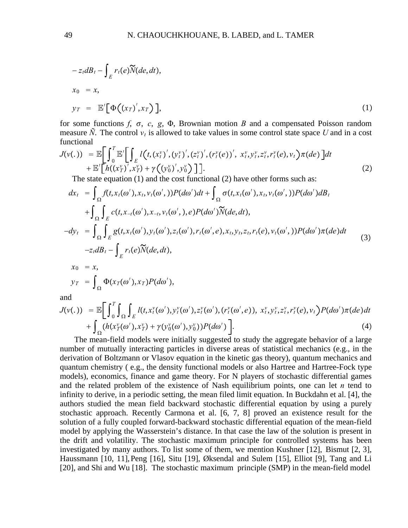$$
-z_t dB_t - \int_E r_t(e)\widetilde{N}(de, dt),
$$
  
\n
$$
x_0 = x,
$$
  
\n
$$
y_T = \mathbb{E}'[\Phi((x_T)', x_T)],
$$
\n(1)

for some functions  $f$ ,  $\sigma$ ,  $c$ ,  $g$ ,  $\Phi$ , Brownian motion *B* and a compensated Poisson random measure  $\tilde{N}$ . The control  $v_t$  is allowed to take values in some control state space U and in a cost functional

$$
J(v(.)) = \mathbb{E}\bigg[\int_0^T \mathbb{E}'\bigg[\int_E I(t, (x_t^v)', (y_t^v)', (z_t^v)', (r_t^v(e))', x_t^v, y_t^v, z_t^v, r_t^v(e), v_t)\pi(de)\bigg]dt + \mathbb{E}'\bigg[h((x_T^v)', x_T^v) + \gamma((y_0^v)', y_0^v)\bigg]\bigg].
$$
\n(2)

The state equation (1) and the cost functional (2) have other forms such as:

$$
dx_t = \int_{\Omega} f(t, x_t(\omega'), x_t, v_t(\omega'), )P(d\omega')dt + \int_{\Omega} \sigma(t, x_t(\omega'), x_t, v_t(\omega'), )P(d\omega')dB_t
$$
  
+ 
$$
\int_{\Omega} \int_{E} c(t, x_{-t}(\omega'), x_{-t}, v_t(\omega'), )P(d\omega')\widetilde{N}(de, dt),
$$
  
-
$$
dy_t = \int_{\Omega} \int_{E} g(t, x_t(\omega'), y_t(\omega'), z_t(\omega'), r_t(\omega', e), x_t, y_t, z_t, r_t(e), v_t(\omega'), )P(d\omega')\pi(de)dt
$$
  
-
$$
z_t dB_t - \int_{E} r_t(e)\widetilde{N}(de, dt),
$$
  

$$
x_0 = x,
$$
  

$$
y_T = \int_{\Omega} \Phi(x_T(\omega'), x_T)P(d\omega'),
$$
 (3)

and

$$
J(v(.)) = \mathbb{E}\bigg[\int_0^T \int_{\Omega} \int_E l(t, x_t^{\nu}(\omega'), y_t^{\nu}(\omega'), z_t^{\nu}(\omega'), (r_t^{\nu}(\omega', e)), x_t^{\nu}, y_t^{\nu}, z_t^{\nu}, r_t^{\nu}(e), v_t) P(d\omega') \pi(de) dt + \int_{\Omega} (h(x_T^{\nu}(\omega'), x_T^{\nu}) + \gamma(y_0^{\nu}(\omega'), y_0^{\nu})) P(d\omega') \bigg].
$$
 (4)

The mean-field models were initially suggested to study the aggregate behavior of a large number of mutually interacting particles in diverse areas of statistical mechanics (e.g., in the derivation of Boltzmann or Vlasov equation in the kinetic gas theory), quantum mechanics and quantum chemistry ( e.g., the density functional models or also Hartree and Hartree-Fock type models), economics, finance and game theory. For N players of stochastic differential games and the related problem of the existence of Nash equilibrium points, one can let *n* tend to infinity to derive, in a periodic setting, the mean filed limit equation. In Buckdahn et al. [4], the authors studied the mean field backward stochastic differential equation by using a purely stochastic approach. Recently Carmona et al. [6, 7, 8] proved an existence result for the solution of a fully coupled forward-backward stochastic differential equation of the mean-field model by applying the Wasserstein's distance. In that case the law of the solution is present in the drift and volatility. The stochastic maximum principle for controlled systems has been investigated by many authors. To list some of them, we mention Kushner [12], Bismut [2, 3], Haussmann [10, 11], Peng [16], Situ [19], Øksendal and Sulem [15], Elliot [9], Tang and Li [20], and Shi and Wu [18]. The stochastic maximum principle (SMP) in the mean-field model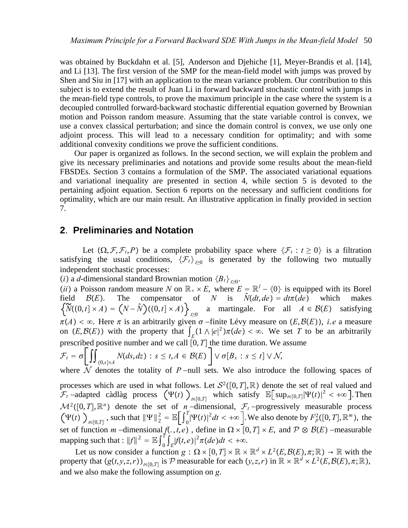was obtained by Buckdahn et al. [5], Anderson and Djehiche [1], Meyer-Brandis et al. [14], and Li [13]. The first version of the SMP for the mean-field model with jumps was proved by Shen and Siu in [17] with an application to the mean variance problem. Our contribution to this subject is to extend the result of Juan Li in forward backward stochastic control with jumps in the mean-field type controls, to prove the maximum principle in the case where the system is a decoupled controlled forward-backward stochastic differential equation governed by Brownian motion and Poisson random measure. Assuming that the state variable control is convex, we use a convex classical perturbation; and since the domain control is convex, we use only one adjoint process. This will lead to a necessary condition for optimality; and with some additional convexity conditions we prove the sufficient conditions.

Our paper is organized as follows. In the second section, we will explain the problem and give its necessary preliminaries and notations and provide some results about the mean-field FBSDEs. Section 3 contains a formulation of the SMP. The associated variational equations and variational inequality are presented in section 4, while section 5 is devoted to the pertaining adjoint equation. Section 6 reports on the necessary and sufficient conditions for optimality, which are our main result. An illustrative application in finally provided in section 7.

### **2**. **Preliminaries and Notation**

Let  $(\Omega, \mathcal{F}, \mathcal{F}_t, P)$  be a complete probability space where  $\{\mathcal{F}_t : t \geq 0\}$  is a filtration satisfying the usual conditions,  $\{\mathcal{F}_t\}_{t>0}$  is generated by the following two mutually independent stochastic processes:

*(i)* a *d*-dimensional standard Brownian motion  ${B_t}_{t}$ <sub>co</sub>.

*(ii)* a Poisson random measure *N* on  $\mathbb{R}_+ \times E$ , where  $E = \mathbb{R}^l - \{0\}$  is equipped with its Borel field  $\mathcal{B}(E)$ . The compensator of *N* is  $\hat{N}(dt, de) = dt\pi(de)$  which makes compensator of *N* is  $\hat{N}(dt, de) = dt\pi(de)$  which makes  $\widetilde{N}((0,t] \times A) = (N - \hat{N})((0,t] \times A)$ <sub>*t*20</sub> a martingale. For all  $A \in \mathcal{B}(E)$  satisfying  $\pi(A) < \infty$ . Here  $\pi$  is an arbitrarily given  $\sigma$  -finite Lévy measure on *(E,B(E))*, *i.e* a measure on  $(E, \mathcal{B}(E))$  with the property that  $\int_E (1 \wedge |e|^2) \pi(de) < \infty$ . We set *T* to be an arbitrarily prescribed positive number and we call  $[0, T]$  the time duration. We assume

$$
\mathcal{F}_t = \sigma \bigg[ \iint_{(0,s] \times A} N(ds,dz) : s \leq t, A \in \mathcal{B}(E) \bigg] \vee \sigma[B_s : s \leq t] \vee \mathcal{N},
$$

where  $N$  denotes the totality of  $P$  −null sets. We also introduce the following spaces of processes which are used in what follows. Let  $S^2([0,T],\mathbb{R})$  denote the set of real valued and  $\mathcal{F}_t$  −adapted càdlàg process  $(\Psi(t))_{t \in [0,T]}$  which satisfy  $\mathbb{E}[\sup_{t \in [0,T]} |\Psi(t)|^2 < +\infty]$ . Then  $\mathcal{M}^2([0,T],\mathbb{R}^n)$  denote the set of *n*-dimensional,  $\mathcal{F}_t$ -progressively measurable process  $\Psi(t)$  )  $_{t\in[0,T]}$  , such that  $\|\Psi\|_2^2 = \mathbb{E} \Big[ \int_0^T$  $T_{0}^{T}|\Psi(t)|^{2}dt < +\infty$ . We also denote by  $F_{p}^{2}([0, T], \mathbb{R}^{m})$ , the set of function *m* −dimensional  $f(.,t,e)$ , define in  $\Omega \times [0,T] \times E$ , and  $\mathcal{P} \otimes \mathcal{B}(E)$  −measurable mapping such that :  $||f||^2 = \mathbb{E} \int_0^1$  $\int_{0}^{T} \int_{E} |f(t, e)|^{2} \pi(de) dt < +\infty.$ 

Let us now consider a function  $g : \Omega \times [0,T] \times \mathbb{R} \times \mathbb{R}^d \times L^2(E,\mathcal{B}(E),\pi;\mathbb{R}) \to \mathbb{R}$  with the property that  $(g(t, y, z, r))_{t \in [0, T]}$  is P measurable for each  $(y, z, r)$  in  $\mathbb{R} \times \mathbb{R}^d \times L^2(E, \mathcal{B}(E), \pi; \mathbb{R})$ , and we also make the following assumption on *g*.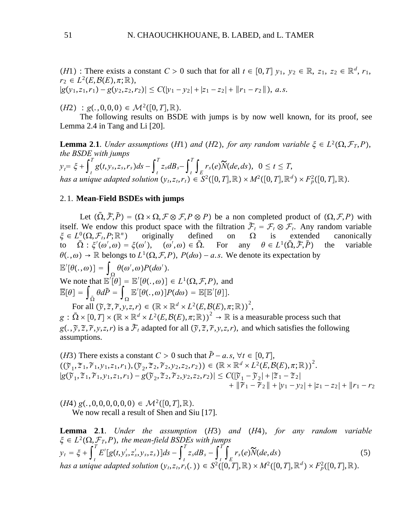*H*<sup>1</sup>) : There exists a constant *C* > 0 such that for all  $t \in [0, T]$   $y_1, y_2 \in \mathbb{R}, z_1, z_2 \in \mathbb{R}^d, r_1$ ,  $r_2 \in L^2(E, \mathcal{B}(E), \pi; \mathbb{R}),$  $|g(y_1, z_1, r_1) - g(y_2, z_2, r_2)| \le C(|y_1 - y_2| + |z_1 - z_2| + ||r_1 - r_2||)$ , *a.s.* 

 $(H2)$ :  $g(.,0,0,0) \in \mathcal{M}^2([0,T],\mathbb{R})$ .

The following results on BSDE with jumps is by now well known, for its proof, see Lemma 2.4 in Tang and Li [20].

**Lemma 2.1**. *Under assumptions (H1) and (H2)*, *for any random variable*  $\xi \in L^2(\Omega, \mathcal{F}_T, P)$ , *the BSDE with jumps*  $y_t = \xi + \int_t^t$  $\int_t^T g(t, y_s, z_s, r_s) ds - \int_t^T$ *T zsdBs*<sup>−</sup> *t*  $\int_{t}^{T} \int_{E} r_s(e) \widetilde{N}(de, ds), 0 \le t \le T$ *has a unique adapted solution*  $(y_t, z_t, r_t) \in S^2([0, T], \mathbb{R}) \times M^2([0, T], \mathbb{R}^d) \times F_p^2([0, T], \mathbb{R})$ .

#### 2. 1. **Mean**-**Field BSDEs with jumps**

Let  $(\overline{\Omega}, \overline{\mathcal{F}}, \overline{P}) = (\Omega \times \Omega, \mathcal{F} \otimes \mathcal{F}, P \otimes P)$  be a non completed product of  $(\Omega, \mathcal{F}, P)$  with itself. We endow this product space with the filtration  $\overline{\mathcal{F}}_t = \mathcal{F}_t \otimes \mathcal{F}_t$ . Any random variable  $\xi \in L^0(\Omega, \mathcal{F}_t, P; \mathbb{R}^n)$  originally defined on  $\Omega$  is extended canonically  $\xi \in L^0(\Omega, \mathcal{F}_t, P; \mathbb{R}^n)$  originally defined on  $\Omega$  is extended canonically<br>to  $\overline{\Omega}$ :  $\xi'(\omega', \omega) = \xi(\omega')$ ,  $(\omega', \omega) \in \overline{\Omega}$ . For any  $\theta \in L^1(\overline{\Omega}, \overline{\mathcal{F}}, \overline{P})$  the variable to  $\bar{\Omega}$  :  $\xi'(\omega', \omega) = \xi(\omega'), \quad (\omega')$ any  $\theta \in L^1(\Omega, \overline{\mathcal{F}}, P)$  $\theta(., \omega) \rightarrow \mathbb{R}$  belongs to  $L^1(\Omega, \mathcal{F}, P)$ ,  $P(d\omega) - a.s$ . We denote its expectation by  $\mathbb{E}'[\theta(.,\omega)] = \int_{\Omega} \theta(\omega', \omega) P(d\omega').$ We note that  $\mathbb{E}'[\theta] = \mathbb{E}'[\theta(., \omega)] \in L^1(\Omega, \mathcal{F}, P)$ , and  $\mathbb{E}[\theta] = \int_{\bar{\Omega}} \theta d\bar{P} = \int_{\Omega} \mathbb{E}'[\theta(., \omega)] P(d\omega) = \mathbb{E}[\mathbb{E}'[\theta]].$ 

For all  $(\tilde{y}, \tilde{z}, \tilde{r}, y, z, r) \in (\mathbb{R} \times \mathbb{R}^d \times L^2(E, \mathcal{B}(E), \pi; \mathbb{R}))^2$ ,  $g : \overline{\Omega} \times [0,T] \times (\mathbb{R} \times \mathbb{R}^d \times L^2(E,\mathcal{B}(E),\pi;\mathbb{R}))^2 \to \mathbb{R}$  is a measurable process such that  $g(. , \tilde{y}, \tilde{z}, \tilde{r}, y, z, r)$  is a  $\bar{\mathcal{F}}_t$  adapted for all  $(\tilde{y}, \tilde{z}, \tilde{r}, y, z, r)$ , and which satisfies the following assumptions.

*(H3)* There exists a constant *C* > 0 such that  $\overline{P}$  − *a*.*s*,  $\forall t \in [0, T]$ ,  $((\tilde{y}_1, \tilde{z}_1, \tilde{r}_1, y_1, z_1, r_1), (\tilde{y}_2, \tilde{z}_2, \tilde{r}_2, y_2, z_2, r_2)) \in (\mathbb{R} \times \mathbb{R}^d \times L^2(E, \mathcal{B}(E), \pi; \mathbb{R}))^2$ .  $|g(\tilde{y}_1, \tilde{z}_1, \tilde{r}_1, y_1, z_1, r_1) - g(\tilde{y}_2, \tilde{z}_2, \tilde{r}_2, y_2, z_2, r_2)| \leq C(|\tilde{y}_1 - \tilde{y}_2| + |\tilde{z}_1 - \tilde{z}_2|)$  $+$   $\|\tilde{r}_1 - \tilde{r}_2\|$  +  $|y_1 - y_2|$  +  $|z_1 - z_2|$  +  $\|r_1 - r_2\|$ 

 $(H4) g(., 0, 0, 0, 0, 0, 0) \in \mathcal{M}^2([0, T], \mathbb{R}).$ We now recall a result of Shen and Siu [17].

**Lemma 2.1.** *Under the assumption* (*H3*) *and* (*H4*), *for any random variable*  $\xi \in L^2(\Omega, \mathcal{F}_T, P)$ , the mean-field BSDEs with jumps  $y_t = \xi + \int_t^t$  $\int_{t}^{T} E'[g(t, y'_{s}, z'_{s}, y_{s}, z_{s})]ds - \int_{t}^{T}$  $\int_t^T z_s dB_s - \int_t^T$  $\int_{t}^{T} \int_{E} r_s(e) \widetilde{N}(de, ds)$  (5) *has a unique adapted solution*  $(y_t, z_t, r_t(.)$   $) \in S^2([0, T], \mathbb{R}) \times M^2([0, T], \mathbb{R}^d) \times F_p^2([0, T], \mathbb{R})$ .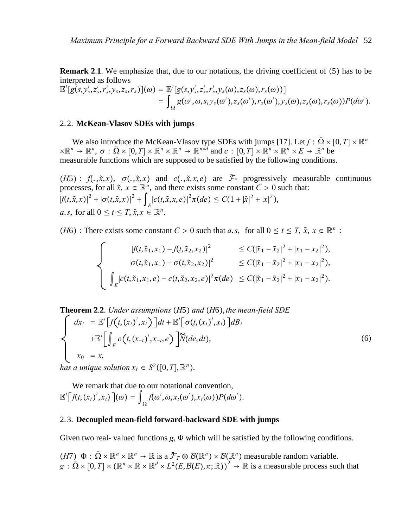**Remark 2.1.** We emphasize that, due to our notations, the driving coefficient of (5) has to be interpreted as follows

$$
\mathbb{E}'[g(s, y'_s, z'_s, r'_s, y_s, z_s, r_s)](\omega) = \mathbb{E}'[g(s, y'_s, z'_s, r'_s, y_s(\omega), z_s(\omega), r_s(\omega))]
$$
  
= 
$$
\int_{\Omega} g(\omega', \omega, s, y_s(\omega'), z_s(\omega'), r_s(\omega'), y_s(\omega), z_s(\omega), r_s(\omega))P(d\omega').
$$

#### 2. 2. **McKean**-**Vlasov SDEs with jumps**

We also introduce the McKean-Vlasov type SDEs with jumps [17]. Let  $f : \overline{\Omega} \times [0, T] \times \mathbb{R}^n$  $R^m \to \mathbb{R}^n$ ,  $\sigma : \overline{\Omega} \times [0,T] \times \mathbb{R}^n \times \mathbb{R}^n \to \mathbb{R}^{n \times d}$  and  $c : [0,T] \times \mathbb{R}^n \times \mathbb{R}^n \times E \to \mathbb{R}^n$  be measurable functions which are supposed to be satisfied by the following conditions.

*H*5 : *f*( $\overline{x}$ ,  $\overline{x}$ ,  $\overline{x}$ ),  $\sigma(\overline{x}, \overline{x}, x)$  and *c*( $\overline{x}$ ,  $\overline{x}$ ,  $\overline{x}$ ) are  $\overline{x}$ - progressively measurable continuous processes, for all  $\tilde{x}$ ,  $x \in \mathbb{R}^n$ , and there exists some constant  $C > 0$  such that:  $|f(t, \tilde{x}, x)|^2 + |\sigma(t, \tilde{x}, x)|^2 + \int_E |c(t, \tilde{x}, x, e)|^2 \pi(de) \leq C(1 + |\tilde{x}|^2 + |x|^2),$ *a*.*s*, for all  $0 \le t \le T$ ,  $\tilde{x}, x \in \mathbb{R}^n$ .

*(H6)* : There exists some constant *C* > 0 such that *a*.*s*, for all  $0 \le t \le T$ ,  $\tilde{x}$ ,  $x \in \mathbb{R}^n$  :

$$
\begin{cases}\n|f(t,\tilde{x}_1,x_1)-f(t,\tilde{x}_2,x_2)|^2 &\leq C(|\tilde{x}_1-\tilde{x}_2|^2+|x_1-x_2|^2), \\
|\sigma(t,\tilde{x}_1,x_1)-\sigma(t,\tilde{x}_2,x_2)|^2 &\leq C(|\tilde{x}_1-\tilde{x}_2|^2+|x_1-x_2|^2), \\
\int_E |c(t,\tilde{x}_1,x_1,e)-c(t,\tilde{x}_2,x_2,e)|^2\pi(de) &\leq C(|\tilde{x}_1-\tilde{x}_2|^2+|x_1-x_2|^2).\n\end{cases}
$$

**Theorem 2.2.** Under assumptions (H5) and (H6), the mean-field SDE  
\n
$$
\begin{cases}\ndx_t = \mathbb{E}'[f(t, (x_t)', x_t)]dt + \mathbb{E}'[\sigma(t, (x_t)', x_t)]dB_t \\
\quad + \mathbb{E}'[\int_E c(t, (x_{-t})', x_{-t}, e)]\widetilde{N}(de, dt), \\
x_0 = x,\n\end{cases}
$$
\n(6)

*has a unique solution*  $x_t \in S^2([0,T],\mathbb{R}^n)$ .

We remark that due to our notational convention,  $\mathbb{E}'\Big[ f(t, (x_t)', x_t) \Big](\omega) = \int_{\Omega} f(\omega', \omega, x_t(\omega'), x_t(\omega)) P(d\omega').$ 

#### 2. 3. **Decoupled mean**-**field forward**-**backward SDE with jumps**

Given two real- valued functions  $g$ ,  $\Phi$  which will be satisfied by the following conditions.

*(H7)*  $\Phi$  :  $\overline{\Omega} \times \mathbb{R}^n \times \mathbb{R}^n \to \mathbb{R}$  is a  $\overline{\mathcal{F}}_T \otimes \mathcal{B}(\mathbb{R}^n) \times \mathcal{B}(\mathbb{R}^n)$  measurable random variable.  $g : \overline{\Omega} \times [0,T] \times (\mathbb{R}^n \times \mathbb{R} \times \mathbb{R}^d \times L^2(E,\mathcal{B}(E),\pi;\mathbb{R}))^2 \to \mathbb{R}$  is a measurable process such that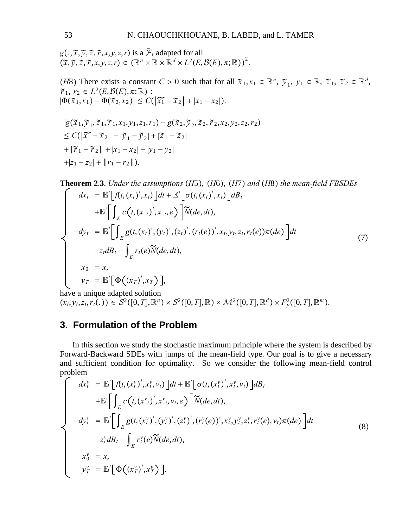$g(., \tilde{x}, \tilde{y}, \tilde{z}, \tilde{r}, x, y, z, r)$  is a  $\overline{\mathcal{F}}_t$  adapted for all  $(\tilde{x}, \tilde{y}, \tilde{z}, \tilde{r}, x, y, z, r) \in (\mathbb{R}^n \times \mathbb{R} \times \mathbb{R}^d \times L^2(E, \mathcal{B}(E), \pi; \mathbb{R}))^2$ .

*H*8) There exists a constant *C* > 0 such that for all  $\tilde{x}_1, x_1 \in \mathbb{R}^n$ ,  $\tilde{y}_1, y_1 \in \mathbb{R}$ ,  $\tilde{z}_1, \tilde{z}_2 \in \mathbb{R}^d$ ,  $\tilde{z}_2, z_1 \in \mathbb{R}^d$ ,  $\widetilde{r}_1, r_2 \in L^2(E, \mathcal{B}(E), \pi; \mathbb{R})$ :  $|\Phi(\widetilde{x}_1, x_1) - \Phi(\widetilde{x}_2, x_2)| \leq C(|\widetilde{x}_1 - \widetilde{x}_2| + |x_1 - x_2|).$ 

$$
|g(\tilde{x}_1, \tilde{y}_1, \tilde{z}_1, \tilde{r}_1, x_1, y_1, z_1, r_1) - g(\tilde{x}_2, \tilde{y}_2, \tilde{z}_2, \tilde{r}_2, x_2, y_2, z_2, r_2)|
$$
  
\n
$$
\leq C(|\tilde{x}_1 - \tilde{x}_2| + |\tilde{y}_1 - \tilde{y}_2| + |\tilde{z}_1 - \tilde{z}_2|
$$
  
\n
$$
+ ||\tilde{r}_1 - \tilde{r}_2|| + |x_1 - x_2| + |y_1 - y_2|
$$
  
\n
$$
+ |z_1 - z_2| + ||r_1 - r_2||).
$$

**Theorem 2.3.** Under the assumptions (H5), (H6), (H7) and (H8) the mean-field FBSDEs  
\n
$$
dx_t = \mathbb{E}'[f(t, (x_t)', x_t)]dt + \mathbb{E}'[\sigma(t, (x_t)', x_t)]dB_t
$$
\n
$$
+ \mathbb{E}'[\int_E c(t, (x_{-t})', x_{-t}, e)]\widetilde{N}(de, dt),
$$
\n
$$
-dy_t = \mathbb{E}'[\int_E g(t, (x_t)', (y_t)', (z_t)', (r_t(e))', x_t, y_t, z_t, r_t(e))\pi(de)]dt
$$
\n
$$
-z_t dB_t - \int_E r_t(e)\widetilde{N}(de, dt),
$$
\n
$$
x_0 = x,
$$
\n
$$
y_T = \mathbb{E}'[\Phi((x_T)', x_T)],
$$
\n(7)

have a unique adapted solution  $(x_t, y_t, z_t, r_t(.)$   $\in \mathcal{S}^2([0, T], \mathbb{R}^n) \times \mathcal{S}^2([0, T], \mathbb{R}) \times \mathcal{M}^2([0, T], \mathbb{R}^d) \times F_p^2([0, T], \mathbb{R}^m)$ .

### **3**. **Formulation of the Problem**

In this section we study the stochastic maximum principle where the system is described by Forward-Backward SDEs with jumps of the mean-field type. Our goal is to give a necessary and sufficient condition for optimality. So we consider the following mean-field control problem

$$
dx_t^v = \mathbb{E}'[f(t, (x_t^v)', x_t^v, v_t)]dt + \mathbb{E}'[\sigma(t, (x_t^v)', x_t^v, v_t)]dB_t + \mathbb{E}'[\int_E c(t, (x_{-t}^v)', x_{-t}^v, v_t, e)) \widetilde{N}(de, dt), -dy_t^v = \mathbb{E}'[\int_E g(t, (x_t^v)', (y_t^v)', (z_t^v)', (r_t^v(e))', x_t^v, y_t^v, z_t^v, r_t^v(e), v_t) \pi(de)]dt -z_t^v dB_t - \int_E r_t^v(e) \widetilde{N}(de, dt), x_0^v = x, y_T^v = \mathbb{E}'[\Phi((x_T^v)', x_T^v)].
$$
\n(8)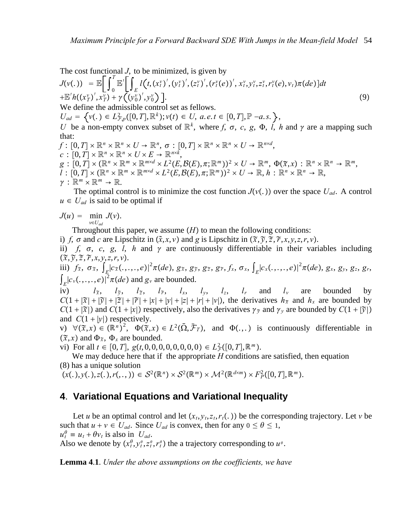The cost functional *J*, to be minimized, is given by

$$
J(v(.)) = \mathbb{E} \bigg[ \int_0^1 \mathbb{E}' \bigg[ \int_E l(t, (x_t^v)'', (y_t^v)', (z_t^v)', (r_t^v(e))', x_t^v, y_t^v, z_t^v, r_t^v(e), v_t) \pi(de) \bigg] dt + \mathbb{E}' h((x_T^v)', x_T^v) + \gamma \bigg( (y_0^v)', y_0^v \bigg) \bigg].
$$
  
We define the admissible control set as follows.  

$$
U_{ad} = \{v(.) \in L_{\mathcal{F},p}^2([0, T], \mathbb{R}^k); v(t) \in U, a.e. t \in [0, T], \mathbb{P} - a.s. \},
$$
\n
$$
(9)
$$

*U* be a non-empty convex subset of  $\mathbb{R}^k$ , where *f*,  $\sigma$ ,  $c$ ,  $g$ ,  $\Phi$ ,  $l$ ,  $h$  and  $\gamma$  are a mapping such that:

 $f: [0, T] \times \mathbb{R}^n \times \mathbb{R}^n \times U \to \mathbb{R}^n$ ,  $\sigma: [0, T] \times \mathbb{R}^n \times \mathbb{R}^n \times U \to \mathbb{R}^{n \times d}$ ,  $c : [0, T] \times \mathbb{R}^n \times \mathbb{R}^n \times U \times E \rightarrow \mathbb{R}^{n \times k},$  $g: [0,T] \times \mathbb{R}^n \times \mathbb{R}^m \times \mathbb{R}^{m \times d} \times L^2(E,\mathcal{B}(E),\pi;\mathbb{R}^m))^2 \times U \to \mathbb{R}^m, \ \Phi(\widetilde{x},x): \mathbb{R}^n \times \mathbb{R}^n \to \mathbb{R}^m,$  $\overline{l}$  :  $[0,T] \times (\mathbb{R}^n \times \mathbb{R}^m \times \mathbb{R}^{m \times d} \times L^2(E, \mathcal{B}(E), \pi; \mathbb{R}^m))^2 \times U \to \mathbb{R}, h : \mathbb{R}^n \times \mathbb{R}^n \to \mathbb{R},$  $\gamma$ :  $\mathbb{R}^m \times \mathbb{R}^m \to \mathbb{R}$ .

The optimal control is to minimize the cost function  $J(v(.))$  over the space  $U_{ad}$ . A control  $u \in U_{ad}$  is said to be optimal if

$$
J(u) = \min_{v \in U_{ad}} J(v).
$$

Throughout this paper, we assume  $(H)$  to mean the following conditions:

i) *f*,  $\sigma$  and *c* are Lipschitz in  $(\tilde{x}, x, v)$  and *g* is Lipschitz in  $(\tilde{x}, \tilde{y}, \tilde{z}, \tilde{r}, x, y, z, r, v)$ .

ii) *f*,  $\sigma$ , *c*, *g*, *l*, *h* and  $\gamma$  are continuously differentiable in their variables including  $(\tilde{x}, \tilde{y}, \tilde{z}, \tilde{r}, x, y, z, r, v).$ 

iii)  $f_{\tilde{x}}, \sigma_{\tilde{x}}, \int_E \left| c_{\tilde{x}}(.,.,.,e)\right|^2 \pi(de), g_{\tilde{x}}, g_{\tilde{y}}, g_{\tilde{z}}, g_{\tilde{r}}, f_x, \sigma_x, \int_E \left| c_x(.,.,.,e)\right|^2 \pi(de), g_x, g_y, g_z, g_r,$  $\int_E |c_v(\ldots, c)|^2 \pi(de)$  and  $g_v$  are bounded.

iv) *l*  $\overline{x}$ ,  $l_{\overline{y}}$ ,  $l_{\overline{z}}$ ,  $l_{\overline{y}}$ ,  $l_{\overline{z}}$ ,  $l_{\overline{y}}$ ,  $l_{z}$ ,  $l_{r}$  and  $l_{v}$  are bounded by  $|\overline{x}| + |\overline{x}| + |\overline{x}| + |v| + |v| + |v| + |v|$  the derivatives *h*<sub>2</sub> and *h*<sub>2</sub> are bounded by  $C(1 + |\overline{x}| + |\overline{y}| + |\overline{z}| + |\overline{r}| + |x| + |y| + |z| + |r| + |v|)$ , the derivatives  $h_{\overline{x}}$  and  $h_x$  are bounded by  $C(1 + |\tilde{x}|)$  and  $C(1 + |x|)$  respectively, also the derivatives  $\gamma_{\tilde{y}}$  and  $\gamma_y$  are bounded by  $C(1 + |\tilde{y}|)$ and  $C(1 + |y|)$  respectively.

 $v)$   $\forall (\tilde{x}, x) \in (\mathbb{R}^n)^2$ ,  $\Phi(\tilde{x}, x) \in L^2(\bar{\Omega}, \bar{\mathcal{F}}_T)$ , and  $\Phi(.,.)$  is continuously differentiable in  $(\tilde{x}, x)$  and  $\Phi_{\tilde{x}}, \Phi_x$  are bounded.

vi) For all  $t \in [0, T]$ ,  $g(t, 0, 0, 0, 0, 0, 0, 0) \in L^2_{\mathcal{F}}([0, T], \mathbb{R}^m)$ .

We may deduce here that if the appropriate *H* conditions are satisfied, then equation (8) has a unique solution

 $(x(.), y(.), z(.), r(., .)) \in S^2(\mathbb{R}^n) \times S^2(\mathbb{R}^m) \times M^2(\mathbb{R}^{d \times m}) \times F_P^2([0, T], \mathbb{R}^m)$ .

### **4**. **Variational Equations and Variational Inequality**

Let *u* be an optimal control and let  $(x_t, y_t, z_t, r_t(.)$  be the corresponding trajectory. Let *v* be such that  $u + v \in U_{ad}$ . Since  $U_{ad}$  is convex, then for any  $0 \le \theta \le 1$ ,  $u_t^{\theta} \equiv u_t + \theta v_t$  is also in  $U_{ad}$ . Also we denote by  $(x_t^{\theta}, y_t^{\theta}, z_t^{\theta}, r_t^{\theta})$  the a trajectory corresponding to  $u^{\theta}$ .

**Lemma 4**.**1**. *Under the above assumptions on the coefficients, we have*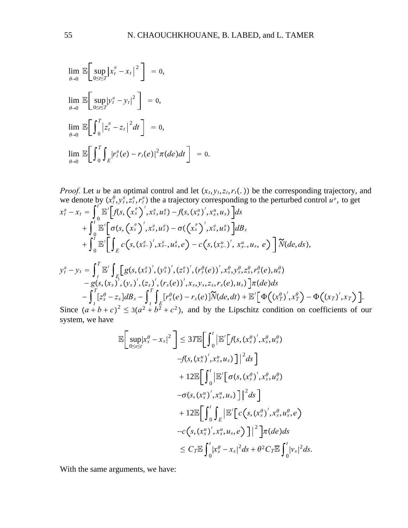$$
\lim_{\theta \to 0} \mathbb{E} \bigg[ \sup_{0 \le t \le T} |x_t^{\theta} - x_t|^2 \bigg] = 0,
$$
  
\n
$$
\lim_{\theta \to 0} \mathbb{E} \bigg[ \sup_{0 \le t \le T} |y_t^{\theta} - y_t|^2 \bigg] = 0,
$$
  
\n
$$
\lim_{\theta \to 0} \mathbb{E} \bigg[ \int_0^T |z_t^{\theta} - z_t|^2 dt \bigg] = 0,
$$
  
\n
$$
\lim_{\theta \to 0} \mathbb{E} \bigg[ \int_0^T \int_E |r_t^{\theta}(e) - r_t(e)|^2 \pi(de) dt \bigg] = 0.
$$

*Proof.* Let *u* be an optimal control and let  $(x_t, y_t, z_t, r_t(.)$  be the corresponding trajectory, and we denote by  $(x_t^{\theta}, y_t^{\theta}, z_t^{\theta}, r_t^{\theta})$  the a trajectory corresponding to the perturbed control  $u^{\theta}$ , to get  $x_t^{\theta} - x_t = \int_0^t$  $\int_{a}^{t} \mathbb{E}'\left[f(s, (x_{s}^{\theta})', x_{s}^{\theta}, u_{s}^{\theta}) - f(s, (x_{s}^{\theta})', x_{s}^{\theta}, u_{s})\right]ds$  $+\int_{0}^{t}$  $\int_{0}^{t} \mathbb{E}'\Big[\, \sigma(s,\left(x_{s}^{\scriptscriptstyle\theta}\right)',x_{s}^{\scriptscriptstyle\theta},u_{s}^{\scriptscriptstyle\theta}) - \sigma(\left(x_{s}^{\scriptscriptstyle\theta}\right)',x_{s}^{\scriptscriptstyle\theta},u_{s}^{\scriptscriptstyle\theta}) \,\Big] dB_{s}$  $+\int_0^t$  $\int_{0}^{t} \mathbb{E}'\bigg[\int_{E} c\Big(s, (x_{s-}^{\theta})^{'}, x_{s-}^{\theta}, u_{s}^{\theta}, e\Big) - c\Big(s, (x_{s-}^u)^{'},\ x_{s-}^u, u_{s},\ e\Big)\bigg]\widetilde{N}(de, ds),$  $y_t^{\theta} - y_t = \int_t^t$  $\int_{t}^{T} \mathbb{E}^{\prime} \int_{E} \Big[ g(s, (x^{\theta}_{s})^{\prime}, (y^{\theta}_{s})^{\prime}, (z^{\theta}_{s})^{\prime}, (r^{\theta}_{s}(e))^{\prime}, x^{\theta}_{s}, y^{\theta}_{s}, z^{\theta}_{s}, r^{\theta}_{s}(e), u^{\theta}_{s}) \Big]$  $-\, g(s, (x_s)^{'}, (y_s)^{'}, (z_s)^{'}, (r_s(e))^{'}, x_s, y_s, z_s, r_s(e), u_s)\, \Big] \pi(de) ds$  $-\int_t^t$  $\int_t^T [z_s^\theta - z_s] dB_s - \int_t^T$  $\int_{t}^{T} \int_{E} [r_s^{\theta}(e) - r_s(e)] \widetilde{N}(de, dt) + \mathbb{E}' \Big[ \Phi\Big((x_T^{\theta})^{'}, x_T^{\theta}\Big) - \Phi\Big((x_T)^{'}, x_T\Big) \Big].$ Since  $(a + b + c)^2 \leq 3(a^2 + b^2 + c^2)$ , and by the Lipschitz condition on coefficients of our

system, we have

$$
\mathbb{E}\Big[\sup_{0\leq s\leq t} |x_s^{\theta} - x_s|^2\Big] \leq 3T \mathbb{E}\Big[\int_0^t \Big|\mathbb{E}'\Big[f(s,(x_s^{\theta})',x_s^{\theta},u_s^{\theta})\Big] \ - f(s,(x_s^u)',x_s^u,u_s)\Big]\Big|^2 ds \Big] \n+ 12 \mathbb{E}\Big[\int_0^t \Big|\mathbb{E}'\Big[\sigma(s,(x_s^{\theta})',x_s^{\theta},u_s^{\theta})\Big] \n- \sigma(s,(x_s^u)',x_s^u,u_s)\Big]\Big|^2 ds \Big] \n+ 12 \mathbb{E}\Big[\int_0^t \int_E \Big|\mathbb{E}'\Big[c(s,(x_s^{\theta})',x_s^{\theta},u_s^{\theta},e)\Big] \n- c(s,(x_s^u)',x_s^u,u_s,e)\Big]\Big|^2 \Big] \pi(de)ds \n\leq C_T \mathbb{E}\int_0^t |x_s^{\theta} - x_s|^2 ds + \theta^2 C_T \mathbb{E}\int_0^t |v_s|^2 ds.
$$

With the same arguments, we have: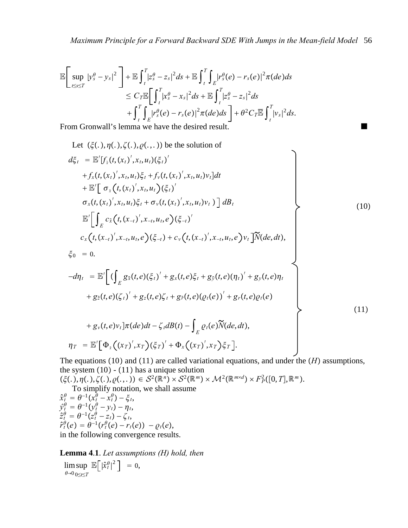$$
\mathbb{E}\left[\sup_{t\leq s\leq T} |y_s^{\theta} - y_s|^2\right] + \mathbb{E}\int_t^T |z_s^{\theta} - z_s|^2 ds + \mathbb{E}\int_t^T \int_E |r_s^{\theta}(e) - r_s(e)|^2 \pi(de)ds
$$
  
\n
$$
\leq C_T \mathbb{E}\left[\int_t^T |x_s^{\theta} - x_s|^2 ds + \mathbb{E}\int_t^T |z_s^{\theta} - z_s|^2 ds\right]
$$
  
\n
$$
+ \int_t^T \int_E |r_s^{\theta}(e) - r_s(e)|^2 \pi(de)ds] + \theta^2 C_T \mathbb{E}\int_t^T |v_s|^2 ds.
$$

From Gronwall's lemma we have the desired result.

Let 
$$
(\xi(.), \eta(.), \zeta(.), \varrho(.), \cdot)
$$
 be the solution of  
\n
$$
d\xi_t = \mathbb{E}'[f_{\tilde{x}}(t, (x_t)', x_t, u_t)(\xi_t)'
$$
\n
$$
+ f_{x}(t, (x_t)', x_t, u_t) \xi_t + f_{y}(t, (x_t)', x_t, u_t) v_t] dt
$$
\n
$$
+ \mathbb{E}'[\sigma_{\tilde{x}}(t, (x_t)', x_t, u_t) \xi_t + \sigma_{y}(t, (x_t)', x_t, u_t) v_t)] dB_t
$$
\n
$$
\mathbb{E}'[\int_E c_{\tilde{x}}(t, (x_{t-1}', x_{t}, u_t, e)(\xi_{t-1}')
$$
\n
$$
c_{x}(t, (x_{t-1}', x_{t}, u_t, e)(\xi_{t-1}) + c_{y}(t, (x_{t-1}', x_{t}, u_t, e) v_t] \widetilde{N}(de, dt),
$$
\n
$$
\xi_0 = 0.
$$
\n
$$
-d\eta_t = \mathbb{E}'[\iint_E g_{\tilde{x}}(t, e)(\xi_t)' + g_{x}(t, e)\xi_t + g_{\tilde{y}}(t, e)(\eta_t)' + g_{y}(t, e)\eta_t
$$
\n
$$
+ g_{\tilde{z}}(t, e)(\zeta_t)' + g_{\tilde{z}}(t, e)\zeta_t + g_{\tilde{y}}(t, e)(\varrho_t(e))' + g_{r}(t, e)\varrho_t(e)
$$
\n
$$
+ g_{y}(t, e)v_t] \pi(de) dt - \zeta_t dB(t) - \int_E \varrho_t(e) \widetilde{N}(de, dt),
$$
\n
$$
\eta_T = \mathbb{E}'[\Phi_{\tilde{x}}((x_T)', x_T)(\xi_T)' + \Phi_{x}((x_T)', x_T)\xi_T].
$$
\n(11)

The equations (10) and (11) are called variational equations, and under the  $(H)$  assumptions, the system  $(10) - (11)$  has a unique solution

 $(\xi(.)$ ,  $\eta(.)$ ,  $\zeta(.)$ ,  $\rho($ ...) $) \in S^2(\mathbb{R}^n) \times S^2(\mathbb{R}^m) \times \mathcal{M}^2(\mathbb{R}^{m \times d}) \times F_P^2([0, T], \mathbb{R}^m)$ . To simplify notation, we shall assume

 $\hat{x}^{\theta}_t = \theta^{-1}(x^{\theta}_t - x^{\theta}_t) - \xi_t,$  $\hat{y}_t^{\theta} = \theta^{-1}(y_t^{\theta} - y_t) - \eta_t$  $\hat{z}^{\theta}_t = \theta^{-1}(z^{\theta}_t - z_t) - \zeta_t,$  $\hat{r}^{\theta}_{t}(e) = \theta^{-1}(r^{\theta}_{t}(e) - r_{t}(e)) - \varrho_{t}(e),$ in the following convergence results.

**Lemma 4**.**1**. *Let assumptions (H) hold, then*  $\theta \rightarrow 0$ lim 0≤*t*≤*T*  $\sup \mathbb{E} \Big[ |\hat{x}_t^{\theta}|^2 \Big] = 0,$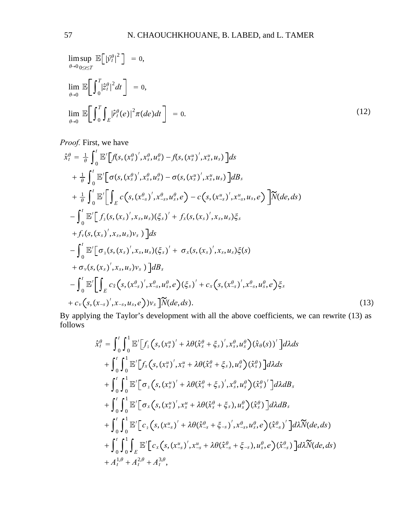$$
\limsup_{\theta \to 0} \mathbb{E} \Big[ \left| \hat{y}_t^{\theta} \right|^2 \Big] = 0,
$$
\n
$$
\lim_{\theta \to 0} \mathbb{E} \Big[ \int_0^T \left| \hat{z}_t^{\theta} \right|^2 dt \Big] = 0,
$$
\n
$$
\lim_{\theta \to 0} \mathbb{E} \Big[ \int_0^T \int_E \left| \hat{r}_t^{\theta}(e) \right|^2 \pi(de) dt \Big] = 0.
$$
\n(12)

Proof. First, we have

$$
\hat{x}_{t}^{\theta} = \frac{1}{\theta} \int_{0}^{t} \mathbb{E}'[f(s,(x_{s}^{\theta})',x_{s}^{\theta},u_{s}^{\theta}) - f(s,(x_{s}^{\theta})',x_{s}^{\mu},u_{s})]ds \n+ \frac{1}{\theta} \int_{0}^{t} \mathbb{E}'[\sigma(s,(x_{s}^{\theta})',x_{s}^{\theta},u_{s}^{\theta}) - \sigma(s,(x_{s}^{\mu})',x_{s}^{\mu},u_{s})]dB_{s} \n+ \frac{1}{\theta} \int_{0}^{t} \mathbb{E}'[\int_{E} c(s,(x_{-s}^{\theta})',x_{-s}^{\theta},u_{s}^{\theta},e) - c(s,(x_{-s}^{\mu})',x_{-s}^{\mu},u_{s},e)]\widetilde{N}(de,ds) \n- \int_{0}^{t} \mathbb{E}'[f_{s}(s,(x_{s})',x_{s},u_{s})(\xi_{s})' + f_{x}(s,(x_{s})',x_{s},u_{s})\xi_{s} \n+ f_{v}(s,(x_{s})',x_{s},u_{s})v_{s})]ds \n- \int_{0}^{t} \mathbb{E}'[\sigma_{s}(s,(x_{s})',x_{s},u_{s})(\xi_{s})' + \sigma_{x}(s,(x_{s})',x_{s},u_{s})\xi(s) \n+ \sigma_{v}(s,(x_{s})',x_{s},u_{s})v_{s})]dB_{s} \n- \int_{0}^{t} \mathbb{E}'[\int_{E} c_{s}(s,(x_{-s}^{\theta})',x_{-s}^{\theta},u_{s}^{\theta},e)(\xi_{s})' + c_{x}(s,(x_{-s}^{\theta})',x_{-s}^{\theta},u_{s}^{\theta},e)\xi_{s} \n+ c_{v}(s,(x_{-s})',x_{-s},u_{s},e))v_{s}] \widetilde{N}(de,ds).
$$
\n(13)

By applying the Taylor's development with all the above coefficients, we can rewrite (13) as follows

$$
\hat{x}_{t}^{\theta} = \int_{0}^{t} \int_{0}^{1} \mathbb{E}' \Big[ f_{\tilde{x}} \Big( s, (x_{s}^{u})' + \lambda \theta (\hat{x}_{s}^{\theta} + \xi_{s})', x_{s}^{\theta}, u_{s}^{\theta} \Big) (\hat{x}_{\theta}(s))' \Big] d\lambda ds \n+ \int_{0}^{t} \int_{0}^{1} \mathbb{E}' \Big[ f_{x} \Big( s, (x_{s}^{u})', x_{s}^{u} + \lambda \theta (\hat{x}_{s}^{\theta} + \xi_{s}), u_{s}^{\theta} \Big) (\hat{x}_{s}^{\theta}) \Big] d\lambda ds \n+ \int_{0}^{t} \int_{0}^{1} \mathbb{E}' \Big[ \sigma_{\tilde{x}} \Big( s, (x_{s}^{u})' + \lambda \theta (\hat{x}_{s}^{\theta} + \xi_{s})', x_{s}^{\theta}, u_{s}^{\theta} \Big) (\hat{x}_{s}^{\theta})' \Big] d\lambda dB_{s} \n+ \int_{0}^{t} \int_{0}^{1} \mathbb{E}' \Big[ \sigma_{x} \Big( s, (x_{s}^{u})', x_{s}^{u} + \lambda \theta (\hat{x}_{s}^{\theta} + \xi_{s}), u_{s}^{\theta} \Big) (\hat{x}_{s}^{\theta}) \Big] d\lambda dB_{s} \n+ \int_{0}^{t} \int_{0}^{1} \mathbb{E}' \Big[ c_{\tilde{x}} \Big( s, (x_{-s}^{u})' + \lambda \theta (\hat{x}_{-s}^{\theta} + \xi_{-s})', x_{-s}^{\theta}, u_{s}^{\theta}, e \Big) (\hat{x}_{-s}^{\theta})' \Big] d\lambda \widetilde{N}(de, ds) \n+ \int_{0}^{t} \int_{0}^{1} \int_{0}^{1} \mathbb{E}' \Big[ c_{x} \Big( s, (x_{-s}^{u})', x_{-s}^{u} + \lambda \theta (\hat{x}_{-s}^{\theta} + \xi_{-s}), u_{s}^{\theta}, e \Big) (\hat{x}_{-s}^{\theta}) \Big] d\lambda \widetilde{N}(de, ds) \n+ A_{t}^{1, \theta} + A_{t}^{2, \theta} + A_{t}^{3, \theta},
$$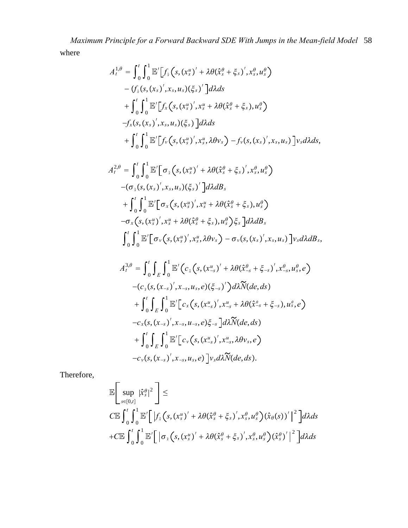*Maximum Principle for a Forward Backward SDE With Jumps in the Mean-field Model* 58 where

$$
A_t^{1,\theta} = \int_0^t \int_0^1 \mathbb{E}' \Big[ f_x \Big( s, (x_s^u)' + \lambda \theta (\hat{x}_s^{\theta} + \xi_s)' , x_s^{\theta}, u_s^{\theta} \Big) - (f_x \Big( s, (x_s)' , x_s, u_s \Big) (\xi_s)' \Big] d\lambda ds + \int_0^t \int_0^1 \mathbb{E}' \Big[ f_x \Big( s, (x_s^u)' , x_s^u + \lambda \theta (\hat{x}_s^{\theta} + \xi_s) , u_s^{\theta} \Big) - f_x \Big( s, (x_s)' , x_s, u_s \Big) (\xi_s) \Big] d\lambda ds + \int_0^t \int_0^1 \mathbb{E}' \Big[ f_y \Big( s, (x_s^u)' , x_s^u, \lambda \theta v_s \Big) - f_y \Big( s, (x_s)' , x_s, u_s \Big) \Big] v_s d\lambda ds,
$$

$$
A_t^{2,\theta} = \int_0^t \int_0^1 \mathbb{E}' \Big[ \sigma_x \Big( s, (x_s^u)' + \lambda \theta (\hat{x}_s^{\theta} + \xi_s)' , x_s^{\theta}, u_s^{\theta} \Big) - \Big( \sigma_x \Big( s, (x_s)' , x_s, u_s \Big) \Big( \xi_s \Big)' \Big] d\lambda dB_s
$$
  
+ 
$$
\int_0^t \int_0^1 \mathbb{E}' \Big[ \sigma_x \Big( s, (x_s^u)' , x_s^u + \lambda \theta (\hat{x}_s^{\theta} + \xi_s) , u_s^{\theta} \Big) - \sigma_x \Big( s, (x_s^u)' , x_s^u + \lambda \theta (\hat{x}_s^{\theta} + \xi_s) , u_s^{\theta} \Big) \xi_s \Big] d\lambda dB_s
$$
  

$$
\int_0^t \int_0^1 \mathbb{E}' \Big[ \sigma_v \Big( s, (x_s^u)' , x_s^u, \lambda \theta v_s \Big) - \sigma_v \Big( s, (x_s)' , x_s, u_s \Big) \Big] v_s d\lambda dB_s,
$$

$$
A_t^{3,\theta} = \int_0^t \int_E \int_0^1 \mathbb{E}' \Big( c_x \Big( s, (x_{-s}^u)' + \lambda \theta (\hat{x}_{-s}^\theta + \xi_{-s})', x_{-s}^\theta, u_s^\theta, e \Big) - (c_x \Big( s, (x_{-s})', x_{-s}, u_s, e \Big) (\xi_{-s})' \Big) d\lambda \widetilde{N}(de, ds) + \int_0^t \int_E \int_0^1 \mathbb{E}' \Big[ c_x \Big( s, (x_{-s}^u)', x_{-s}^u + \lambda \theta (\hat{x}_{-s}^\theta + \xi_{-s}), u_s^\theta, e \Big) - c_x \Big( s, (x_{-s})', x_{-s}, u_{-s}, e \Big) \xi_{-s} \Big] d\lambda \widetilde{N}(de, ds) + \int_0^t \int_E \int_0^1 \mathbb{E}' \Big[ c_v \Big( s, (x_{-s}^u)', x_{-s}^u, \lambda \theta v_s, e \Big) - c_v \Big( s, (x_{-s})', x_{-s}, u_s, e \Big) \Big] v_s d\lambda \widetilde{N}(de, ds).
$$

Therefore,

$$
\mathbb{E}\Bigg[\sup_{s\in[0,t]}|\hat{x}_s^{\theta}|^2\Bigg] \leq
$$
\n
$$
\mathbb{CE}\int_0^t\int_0^1\mathbb{E}'\Big[\int_{\tilde{x}}(s,(x_s^u)'+\lambda\theta(\hat{x}_s^{\theta}+\xi_s)',x_s^{\theta},u_s^{\theta})(\hat{x}_{\theta}(s))'\Big|^2\Big]d\lambda ds
$$
\n
$$
+C\mathbb{E}\int_0^t\int_0^1\mathbb{E}'\Big[\Big|\sigma_{\tilde{x}}(s,(x_s^u)'+\lambda\theta(\hat{x}_s^{\theta}+\xi_s)',x_s^{\theta},u_s^{\theta})(\hat{x}_s^{\theta})'\Big|^2\Big]d\lambda ds
$$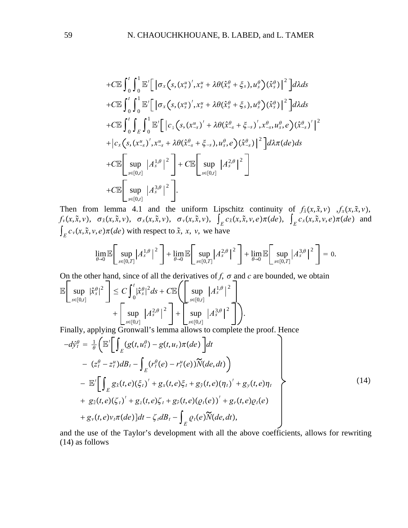$$
+C\mathbb{E}\int_{0}^{t}\int_{0}^{1}\mathbb{E}'\Big[\big|\sigma_{x}\big(s,(x_{s}^{u})',x_{s}^{u}+\lambda\theta(\hat{x}_{s}^{\theta}+\xi_{s}),u_{s}^{\theta}\big)(\hat{x}_{s}^{\theta})\big|^{2}\Big]d\lambda ds
$$
  
+
$$
C\mathbb{E}\int_{0}^{t}\int_{0}^{1}\mathbb{E}'\Big[\big|\sigma_{x}\big(s,(x_{s}^{u})',x_{s}^{u}+\lambda\theta(\hat{x}_{s}^{\theta}+\xi_{s}),u_{s}^{\theta}\big)(\hat{x}_{s}^{\theta})\big|^{2}\Big]d\lambda ds
$$
  
+
$$
C\mathbb{E}\int_{0}^{t}\int_{E}\int_{0}^{1}\mathbb{E}'\Big[\big|c_{\hat{x}}\big(s,(x_{-s}^{u})' + \lambda\theta(\hat{x}_{-s}^{\theta}+\xi_{-s})',x_{-s}^{\theta},u_{s}^{\theta},e\big)(\hat{x}_{-s}^{\theta})\big|^{2}\Big]d\lambda ds
$$
  
+
$$
|c_{x}\big(s,(x_{-s}^{u})',x_{-s}^{u}+\lambda\theta(\hat{x}_{-s}^{\theta}+\xi_{-s}),u_{s}^{\theta},e\big)(\hat{x}_{-s}^{\theta})\big|^{2}\Big]d\lambda\pi(de)ds
$$
  
+
$$
C\mathbb{E}\Big[\sup_{s\in[0,t]}|A_{s}^{1,\theta}|^{2}\Big]+C\mathbb{E}\Big[\sup_{s\in[0,t]}|A_{s}^{2,\theta}|^{2}\Big]
$$
  
+
$$
C\mathbb{E}\Big[\sup_{s\in[0,t]}|A_{s}^{3,\theta}|^{2}\Big].
$$

Then from lemma 4.1 and the uniform Lipschitz continuity of  $f_{\tilde{x}}(x, \tilde{x}, v)$ ,  $f_{x}(x, \tilde{x}, v)$ ,  $f_{\nu}(x,\tilde{x},\nu), \sigma_{\tilde{x}}(x,\tilde{x},\nu), \sigma_{x}(x,\tilde{x},\nu), \sigma_{\nu}(x,\tilde{x},\nu), \int_{E} c_{\tilde{x}}(x,\tilde{x},\nu,e)\pi(de), \int_{E} c_{x}(x,\tilde{x},\nu,e)\pi(de)$  and  $\int_E c_v(x, \tilde{x}, v, e) \pi(de)$  with respect to  $\tilde{x}$ , *x*, *v*, we have

$$
\lim_{\theta \to 0} \mathbb{E} \Bigg[ \sup_{s \in [0,T]} \left| A_s^{1,\theta} \right|^2 \Bigg] + \lim_{\theta \to 0} \mathbb{E} \Bigg[ \sup_{s \in [0,T]} \left| A_s^{2,\theta} \right|^2 \Bigg] + \lim_{\theta \to 0} \mathbb{E} \Bigg[ \sup_{s \in [0,T]} \left| A_s^{3,\theta} \right|^2 \Bigg] = 0.
$$

On the other hand, since of all the derivatives of  $f$ ,  $\sigma$  and  $c$  are bounded, we obtain

$$
\mathbb{E}\left[\sup_{s\in[0,t]}|\hat{x}_s^{\theta}|^2\right] \leq C \int_0^t |\hat{x}_s^{\theta}|^2 ds + C \mathbb{E}\left(\left[\sup_{s\in[0,t]}|A_s^{1,\theta}|^2\right] + \left[\sup_{s\in[0,t]}|A_s^{2,\theta}|^2\right] + \left[\sup_{s\in[0,t]}|A_s^{3,\theta}|^2\right] \right).
$$

Finally, applying Gronwall's lemma allows to complete the proof. Hence

$$
-d\hat{y}_{t}^{\theta} = \frac{1}{\theta} \Big( \mathbb{E}' \Big[ \int_{E} (g(t, u_{t}^{\theta}) - g(t, u_{t}) \pi(de) \Big] dt - (z_{t}^{\theta} - z_{t}^{u}) dB_{t} - \int_{E} (r_{t}^{\theta}(e) - r_{t}^{u}(e)) \widetilde{N}(de, dt) \Big) - \mathbb{E}' \Big[ \int_{E} g_{\tilde{x}}(t, e) (\xi_{t})' + g_{x}(t, e) \xi_{t} + g_{\tilde{y}}(t, e) (\eta_{t})' + g_{y}(t, e) \eta_{t} + g_{\tilde{z}}(t, e) (\zeta_{t})' + g_{z}(t, e) \zeta_{t} + g_{\tilde{r}}(t, e) (\varrho_{t}(e))' + g_{r}(t, e) \varrho_{t}(e) + g_{v}(t, e) v_{t} \pi(de) \Big] dt - \zeta_{t} dB_{t} - \int_{E} \varrho_{t}(e) \widetilde{N}(de, dt),
$$
\n(14)

and the use of the Taylor's development with all the above coefficients, allows for rewriting (14) as follows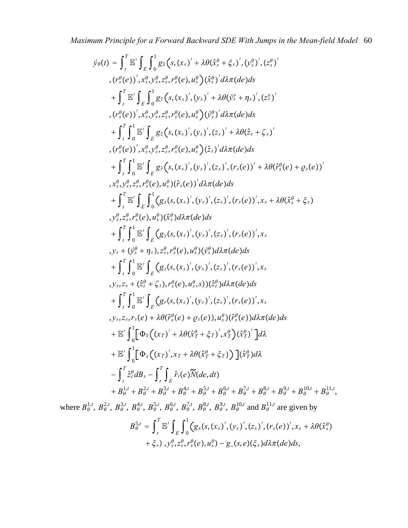*Maximum Principle for a Forward Backward SDE With Jumps in the Mean-field Model* 60

$$
\hat{y}_{\theta}(t) = \int_{t}^{T} \mathbb{E}' \int_{E} \int_{0}^{1} g_{\tilde{x}}(s, (x_{s})' + \lambda \theta(\hat{x}_{s}^{\theta} + \xi_{s})', (y_{s}^{\theta})', (\xi_{s}^{\theta})
$$
  
. 
$$
(r_{s}^{\theta}(e))', x_{s}^{\theta}, y_{s}^{\theta}, z_{s}^{\theta}, r_{s}^{\theta}(e), u_{s}^{\theta})(\hat{x}_{s}^{\theta})' d\lambda \pi(de) ds
$$
  
+ 
$$
\int_{t}^{T} \mathbb{E}' \int_{E} \int_{0}^{1} g_{\tilde{y}}(s, (x_{s})', (y_{s})' + \lambda \theta(y_{s}^{\theta} + \eta_{s}), (z_{s}^{\theta})'
$$
  
. 
$$
(r_{s}^{\theta}(e))', x_{s}^{\theta}, y_{s}^{\theta}, z_{s}^{\theta}, r_{s}^{\theta}(e), u_{s}^{\theta})(y_{s}^{\theta})' d\lambda \pi(de) ds
$$
  
+ 
$$
\int_{t}^{T} \int_{0}^{1} \mathbb{E}' \int_{E} g_{\tilde{z}}(s, (x_{s})', (y_{s})', (z_{s})' + \lambda \theta(\hat{z}_{s} + \zeta_{s})'
$$
  
. 
$$
(r_{s}^{\theta}(e))', x_{s}^{\theta}, y_{s}^{\theta}, z_{s}^{\theta}, r_{s}^{\theta}(e), u_{s}^{\theta})(\hat{z}_{s})' d\lambda \pi(de) ds
$$
  
+ 
$$
\int_{t}^{T} \int_{0}^{1} \mathbb{E}' \int_{E} g_{\tilde{y}}(s, (x_{s})', (y_{s})', (z_{s})', (r_{s}(e))' + \lambda \theta(\hat{r}_{s}^{\theta}(e) + \varrho_{s}(e))'
$$
  
. 
$$
x_{s}^{\theta}, y_{s}^{\theta}, z_{s}^{\theta}, r_{s}^{\theta}(e), u_{s}^{\theta})(\hat{r}_{s}(e))' d\lambda \pi(de) ds
$$
  
+ 
$$
\int_{t}^{T} \int_{0}^{1} \mathbb{E}' \int_{E} \int_{0}^{1} (g_{\tilde{x}}(s, (x_{s})', (y_{s})', (z_{s})', (r
$$

$$
B_{\theta}^{5,t} = \int_{t}^{T} \mathbb{E}' \int_{E} \int_{0}^{1} (g_x(s,(x_s)',(y_s)',(z_s)',(r_s(e))',x_s+\lambda \theta(\hat{x}_s^{\theta})
$$
  
+  $\xi_s$ ),  $y_s^{\theta}, z_s^{\theta}, r_s^{\theta}(e), u_s^{\theta}) - g_x(s,e)(\xi_s) d\lambda \pi(de) ds,$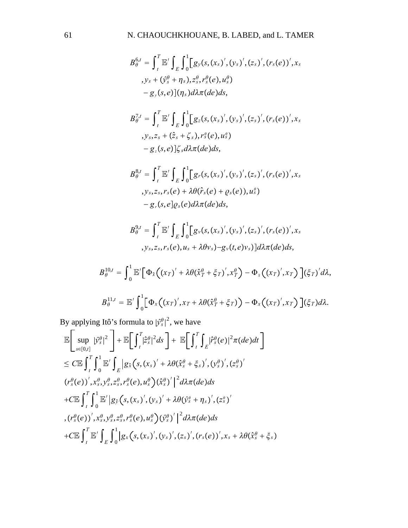$$
B_{\theta}^{6,t} = \int_{t}^{T} \mathbb{E}' \int_{E} \int_{0}^{1} \Big[ g_{y}(s,(x_{s})^{'},(y_{s})^{'},(z_{s})^{'},(r_{s}(e))^{'},x_{s})
$$

$$
y_{s} + (\hat{y}_{s}^{\theta} + \eta_{s}), z_{s}^{\theta}, r_{s}^{\theta}(e),u_{s}^{\theta})
$$

$$
- g_{y}(s,e) \Big] (\eta_{s}) d\lambda \pi(de) ds,
$$

$$
B_{\theta}^{7,t} = \int_{t}^{T} \mathbb{E}' \int_{E} \int_{0}^{1} [g_{z}(s,(x_{s})', (y_{s})', (z_{s})', (r_{s}(e))', x_{s} , y_{s}, z_{s} + (\hat{z}_{s} + \zeta_{s}), r_{s}^{\theta}(e), u_{s}^{\theta}) - g_{z}(s,e)] \zeta_{s} d\lambda \pi(de) ds,
$$

$$
B_{\theta}^{8,t} = \int_{t}^{T} \mathbb{E}' \int_{E} \int_{0}^{1} \Big[ g_r(s,(x_s)',(y_s)',(z_s)',(r_s(e))',x_s,y_s,z_s,r_s(e) + \lambda \theta(\hat{r}_s(e) + \varrho_s(e)),u_s^{\theta})- g_r(s,e] \varrho_s(e) d\lambda \pi(de) ds,
$$

$$
B_{\theta}^{9,t} = \int_{t}^{T} \mathbb{E}' \int_{E} \int_{0}^{1} \Big[ g_{\nu}(s,(x_s)',(y_s)',(z_s)',(r_s(e))',x_s,y_s,z_s,r_s(e),u_s+\lambda\theta v_s)-g_{\nu}(t,e)v_s) \Big] d\lambda\pi(de)ds,
$$

$$
B_{\theta}^{10,t} = \int_0^1 \mathbb{E}' \Big[ \Phi_{\tilde{x}} \Big( (x_T)' + \lambda \theta (\hat{x}_T^{\theta} + \xi_T)' , x_T^{\theta} \Big) - \Phi_{\tilde{x}} \Big( (x_T)' , x_T \Big) \Big] (\xi_T)' d\lambda,
$$

$$
B_{\theta}^{11,t} = \mathbb{E}'\int_0^1 \Big[\Phi_x\Big((x_T)^{'},x_T+\lambda\theta(\hat{x}_T^{\theta}+\xi_T)\Big)-\Phi_x\Big((x_T)^{'},x_T\Big)\Big](\xi_T)d\lambda.
$$

By applying Itô's formula to  $|\hat{y}_s^{\theta}|^2$ , we have

$$
\mathbb{E}\Bigg[\sup_{s\in[0,t]}|\hat{v}_s^{\theta}|^2\Bigg] + \mathbb{E}\Bigg[\int_t^T|\hat{z}_s^{\theta}|^2ds\Bigg] + \mathbb{E}\Bigg[\int_t^T\int_E|\hat{r}_s^{\theta}(e)|^2\pi(de)dt\Bigg]
$$
\n
$$
\leq C\mathbb{E}\int_t^T\int_0^1\mathbb{E}'\int_E|g_{\tilde{x}}(s,(x_s)' + \lambda\theta(\hat{x}_s^{\theta} + \xi_s)',(y_s^{\theta})',(z_s^{\theta})'
$$
\n
$$
(r_s^{\theta}(e))',x_s^{\theta},y_s^{\theta},z_s^{\theta},r_s^{\theta}(e),u_s^{\theta})(\hat{x}_s^{\theta})'\Big|^2d\lambda\pi(de)ds
$$
\n
$$
+C\mathbb{E}\int_t^T\int_0^1\mathbb{E}'\Big|g_{\tilde{y}}(s,(x_s)',(y_s)' + \lambda\theta(\hat{y}_s^{\theta} + \eta_s)',(z_s^{\theta})'
$$
\n
$$
,(r_s^{\theta}(e))',x_s^{\theta},y_s^{\theta},z_s^{\theta},r_s^{\theta}(e),u_s^{\theta})(\hat{y}_s^{\theta})'\Big|^2d\lambda\pi(de)ds
$$
\n
$$
+C\mathbb{E}\int_t^T\mathbb{E}'\int_E\int_0^1|g_{x}(s,(x_s)',(y_s)',(z_s)',(r_s(e))',x_s+\lambda\theta(\hat{x}_s^{\theta} + \xi_s))
$$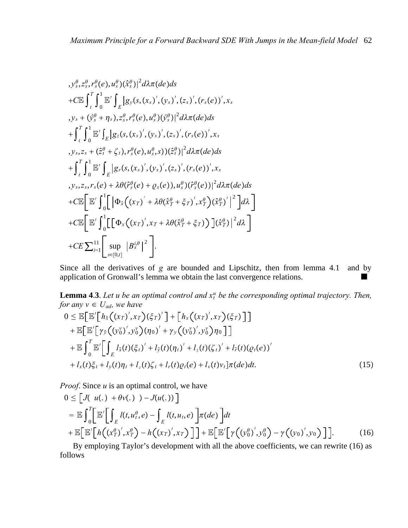$$
y_s^{\theta}, z_s^{\theta}, r_s^{\theta}(e), u_s^{\theta})(\hat{x}_s^{\theta})|^2 d\lambda \pi(de) ds
$$
  
+
$$
C\mathbb{E} \int_t^T \int_0^1 \mathbb{E}' \int_E |g_y(s, (x_s)', (y_s)', (z_s)', (r_s(e))', x_s)
$$
  

$$
y_s + (\hat{y}_s^{\theta} + \eta_s), z_s^{\theta}, r_s^{\theta}(e), u_s^{\theta})(\hat{y}_s^{\theta})|^2 d\lambda \pi(de) ds
$$
  
+
$$
\int_t^T \int_0^1 \mathbb{E}' \int_E |g_z(s, (x_s)', (y_s)', (z_s)', (r_s(e))', x_s)
$$
  

$$
y_s, z_s + (\hat{z}_t^{\theta} + \zeta_t), r_s^{\theta}(e), u_s^{\theta}, s) (\hat{z}_t^{\theta})|^2 d\lambda \pi(de) ds
$$
  
+
$$
\int_t^T \int_0^1 \mathbb{E}' \int_E |g_r(s, (x_s)', (y_s)', (z_s)', (r_s(e))', x_s)
$$
  

$$
y_s, z_s, r_s(e) + \lambda \theta(\hat{r}_s^{\theta}(e) + \varrho_s(e)), u_s^{\theta})(\hat{r}_s^{\theta}(e))|^2 d\lambda \pi(de) ds
$$
  
+
$$
C\mathbb{E} \left[ \mathbb{E}' \int_0^1 \left[ \left| \Phi_{\tilde{x}} \left( (x_T)' + \lambda \theta(\hat{x}_T^{\theta} + \xi_T)', x_T^{\theta} \right) (\hat{x}_T^{\theta})' \right|^2 \right] d\lambda \right]
$$
  
+
$$
C\mathbb{E} \left[ \mathbb{E}' \int_0^1 \left[ \left[ \Phi_x \left( (x_T)', x_T + \lambda \theta(\hat{x}_T^{\theta} + \xi_T) \right) \right] (\hat{x}_T^{\theta}) \right]^2 d\lambda \right]
$$
  
+
$$
C\mathbb{E} \sum_{i=1}^{11} \left[ \sup_{s \in [0, t]} |B_s^{\tilde{t}, \theta}|^2 \right].
$$

Since all the derivatives of *g* are bounded and Lipschitz, then from lemma 4.1 and by application of Gronwall's lemma we obtain the last convergence relations.

**Lemma 4.3.** Let u be an optimal control and  $x_t^u$  be the corresponding optimal trajectory. Then, *for any*  $v \in U_{ad}$ *, we have* 

$$
0 \leq \mathbb{E}\big[\mathbb{E}'\big[h_{\tilde{x}}\big((x_T)',x_T\big)(\xi_T)'\big] + \big[h_x\big((x_T)',x_T\big)(\xi_T)\big]\big] + \mathbb{E}\big[\mathbb{E}'\big[\gamma_{\tilde{y}}\big((y_0'')',y_0'\big)(\eta_0)' + \gamma_{y}\big((y_0'')',y_0'\big)\eta_0\big]\big] + \mathbb{E}\int_0^T \mathbb{E}'\big[\int_E l_{\tilde{x}}(t)(\xi_t)' + l_{\tilde{y}}(t)(\eta_t)' + l_{\tilde{z}}(t)(\xi_t)' + l_{\tilde{r}}(t)(\varrho_t(e))' + l_x(t)\xi_t + l_y(t)\eta_t + l_z(t)\xi_t + l_r(t)\varrho_t(e) + l_y(t)\nu_t]\pi(de)dt.
$$
\n(15)

*Proof.* Since *u* is an optimal control, we have

$$
0 \leq \left[J(u(.) + \theta v(.)) - J(u(.))\right]
$$
  
\n
$$
= \mathbb{E} \int_0^T \left[\mathbb{E}'\left[\int_E l(t, u_t^{\theta}, e) - \int_E l(t, u_t, e)\right] \pi(de)\right] dt
$$
  
\n
$$
+ \mathbb{E}\left[\mathbb{E}'\left[h\left((x_T^{\theta})', x_T^{\theta}\right) - h\left((x_T)', x_T\right)\right]\right] + \mathbb{E}\left[\mathbb{E}'\left[\gamma\left((y_T^{\theta})', y_T^{\theta}\right) - \gamma\left((y_T)', y_T\right)\right]\right].
$$
 (16)

By employing Taylor's development with all the above coefficients, we can rewrite (16) as follows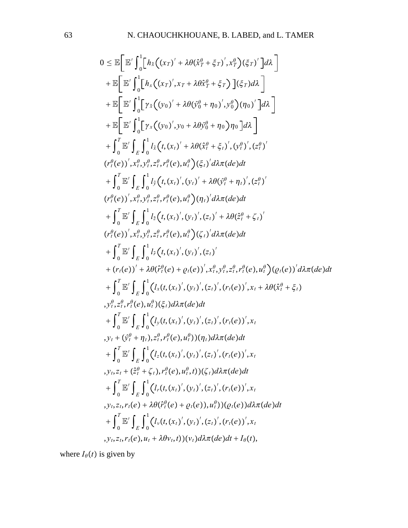$$
0 \leq \mathbb{E}\Big[\mathbb{E}'\int_{0}^{1}\Big[h_{\tilde{x}}\Big((x_{T})'+\lambda\theta(\hat{x}_{T}^{\theta}+\xi_{T})',x_{T}^{\theta}\Big)(\xi_{T})'\Big]d\lambda\Big] + \mathbb{E}\Big[\mathbb{E}'\int_{0}^{1}\Big[h_{x}\Big((x_{T})',x_{T}+\lambda\theta\hat{x}_{T}^{\theta}+\xi_{T}\Big)\Big](\xi_{T})d\lambda\Big] + \mathbb{E}\Big[\mathbb{E}'\int_{0}^{1}\Big[\gamma_{x}\Big((y_{0})'+\lambda\theta(\hat{y}_{0}^{\theta}+\eta_{0})',y_{0}^{\theta}\Big)(\eta_{0})'\Big]d\lambda\Big] + \mathbb{E}\Big[\mathbb{E}'\int_{0}^{1}\Big[\gamma_{x}\Big((y_{0})',y_{0}+\lambda\theta(\hat{y}_{0}^{\theta}+\eta_{0})\eta_{0}\Big]d\lambda\Big] + \mathbb{E}\Big[\mathbb{E}'\int_{0}^{1}\Big[h_{x}\Big((y_{0})',y_{0}+\lambda\theta(\hat{x}_{T}^{\theta}+\xi_{t}),',y_{T}^{\theta}\Big)'_{\cdot}(\xi_{T}^{\theta})' (r_{t}^{\theta}(e))',x_{t}^{\theta},y_{t}^{\theta},z_{t}^{\theta},r_{t}^{\theta}(e),u_{t}^{\theta}\Big)(\xi_{t})'\Big(d\lambda\pi(de)dt+ \int_{0}^{T}\mathbb{E}'\int_{E}\int_{0}^{1}l_{\tilde{x}}\Big((x_{t})',(y_{t})'+\lambda\theta(\hat{y}_{t}^{\theta}+\eta_{t})',(\xi_{t}^{\theta})'\Big) (r_{t}^{\theta}(e))',x_{t}^{\theta},y_{t}^{\theta},z_{t}^{\theta},r_{t}^{\theta}(e),u_{t}^{\theta}\Big)(\eta_{t})'\Big(d\lambda\pi(de)dt+ \int_{0}^{T}\mathbb{E}'\int_{E}\int_{0}^{1}l_{\tilde{x}}\Big((x_{t})',(y_{t})',(z_{t})'+\lambda\theta(\hat{z}_{t}^{\theta}+\xi_{t})'\Big) (r_{t}^{\theta}(e))',x_{t}^{\theta},y_{t}^{\theta},z_{t}^{\theta},r_{t}^{\theta}(e),u_{t}^{\theta}\
$$

where  $I_{\theta}(t)$  is given by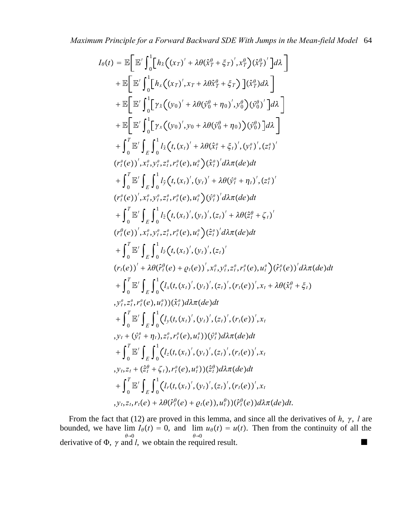$$
I_{\theta}(t) = \mathbb{E}\Big[\mathbb{E}'\int_{0}^{1}\Big[h_{\tilde{x}}\Big((x_{T})' + \lambda\theta(\hat{x}_{T}^{\theta} + \xi_{T})', x_{T}^{\theta}\Big)(\hat{x}_{T}^{\theta})'\Big]d\lambda\Big] + \mathbb{E}\Big[\mathbb{E}'\int_{0}^{1}\Big[h_{x}\Big((x_{T})', x_{T} + \lambda\theta\hat{x}_{T}^{\theta} + \xi_{T}\Big)\Big](\hat{x}_{T}^{\theta})d\lambda\Big] + \mathbb{E}\Big[\mathbb{E}'\int_{0}^{1}\Big[\gamma_{\tilde{x}}\Big((y_{0})' + \lambda\theta(\hat{y}_{0}^{\theta} + \eta_{0})', y_{0}^{\theta}\Big)(\hat{y}_{0}^{\theta})'\Big]d\lambda\Big] + \mathbb{E}\Big[\mathbb{E}'\int_{0}^{1}\Big[\gamma_{x}\Big((y_{0})', y_{0} + \lambda\theta(\hat{y}_{0}^{\theta} + \eta_{0})\Big)(\hat{y}_{0}^{\theta})\Big]d\lambda\Big] + \int_{0}^{T}\mathbb{E}'\int_{E}\int_{0}^{1}l_{\tilde{x}}\Big(t, (x_{t})' + \lambda\theta(\hat{x}_{t}^{\theta} + \xi_{t})', (y_{t}^{\theta})', (z_{t}^{\theta})' \Big]d\lambda\Big] + \int_{0}^{T}\mathbb{E}'\int_{E}\int_{0}^{1}l_{\tilde{x}}\Big(t, (x_{t})', (y_{t})' + \lambda\theta(\hat{x}_{t}^{\theta} + \xi_{t})', (y_{t}^{\theta})', (z_{t}^{\theta})' \Big] + \int_{0}^{T}\mathbb{E}'\int_{E}\int_{0}^{1}l_{\tilde{x}}\Big(t, (x_{t})', (y_{t})' + \lambda\theta(\hat{y}_{t}^{\theta} + \eta_{t})\Big), (z_{t}^{\theta})' \Big] + \int_{0}^{T}\mathbb{E}'\int_{E}\int_{0}^{1}l_{\tilde{x}}\Big(t, (x_{t})', (y_{t})', (z_{t})' + \lambda\theta(\hat{z}_{t}^{\theta} + \xi_{t})'\Big] + \int_{0}^{T}\mathbb{E}'\int_{E}\int_{0}^{1}l_{\tilde{x}}\Big(t,
$$

From the fact that (12) are proved in this lemma, and since all the derivatives of  $h$ ,  $\gamma$ ,  $l$  are bounded, we have  $\lim I_{\theta}(t) = 0$ , and  $\lim u_{\theta}(t) = u(t)$ . Then from the continuity of all the derivative of  $\Phi$ ,  $\gamma$  and *l*, we obtain the required result.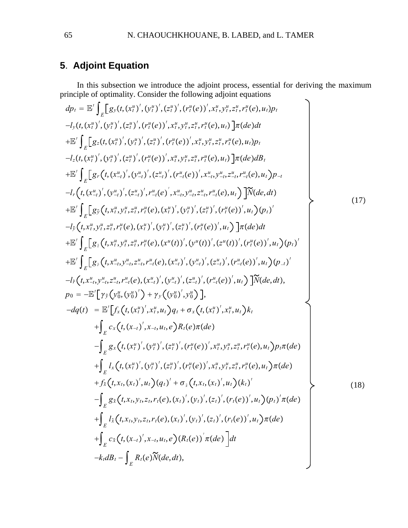# **5**. **Adjoint Equation**

In this subsection we introduce the adjoint process, essential for deriving the maximum principle of optimality. Consider the following adjoint equations  $\overline{\phantom{0}}$ 

$$
dp_{t} = \mathbb{E}' \int_{E} [g_{y}(t, (x_{t}^{u})', (y_{t}^{u})', (z_{t}^{u})', (r_{t}^{u}(e))', x_{t}^{u}, y_{t}^{u}, z_{t}^{u}, r_{t}^{u}(e), u_{t})p_{t}
$$
  
\n
$$
-I_{y}(t, (x_{t}^{u})', (y_{t}^{u})', (z_{t}^{u})', (r_{t}^{u}(e))', x_{t}^{u}, y_{t}^{u}, z_{t}^{u}, r_{t}^{u}(e), u_{t})] \pi(de)dt
$$
  
\n
$$
+ \mathbb{E}' \int_{E} [g_{z}(t, (x_{t}^{u})', (y_{t}^{u})', (z_{t}^{u})', (r_{t}^{u}(e))', x_{t}^{u}, y_{t}^{u}, z_{t}^{u}, r_{t}^{u}(e), u_{t})] \pi(de)db_{t}
$$
  
\n
$$
-I_{z}(t, (x_{t}^{u})', (y_{t}^{u})', (z_{t}^{u})', (r_{t}^{u}(e))', x_{t}^{u}, y_{t}^{u}, z_{t}^{u}, r_{t}^{u}(e), u_{t})] \pi(de)db_{t}
$$
  
\n
$$
+ \mathbb{E}' \int_{E} [g_{z}(t, (x_{t-1}^{u})', y_{t-1}^{u})', (z_{t-1}^{u})', (r_{t-1}^{u}(e))', x_{t-1}^{u}, y_{t-1}^{u}, z_{t-1}^{u}, z_{t}^{u}(e), u_{t})] p_{-t}
$$
  
\n
$$
-I_{r}(t, (x_{t-1}^{u})', y_{t-1}^{u})', z_{t-1}^{u}, r_{t}^{u}(e), (x_{t}^{u})', (y_{t}^{u})', (z_{t}^{u})', (r_{t}^{u}(e))', u_{t}) p_{t})'
$$
  
\n
$$
-I_{y}(t, x_{t}^{u}, y_{t}^{u}, z_{t}^{u}, r_{t}^{u}(e), (x_{t}^{u})', (y_{t}^{u})', (z_{t}^{u})', (r_{t}^{u}(e))', u_{t}) p_{t})'
$$
  
\n
$$
+ \mathbb{E}' \int_{E} [g_{z}(t, x_{t
$$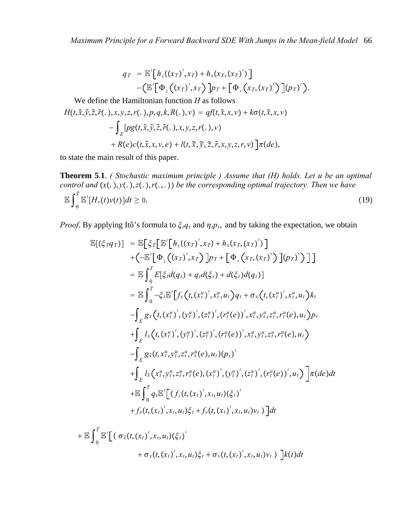*Maximum Principle for a Forward Backward SDE With Jumps in the Mean-field Model* 66

$$
q_T = \mathbb{E}'\Big[h_{\tilde{x}}((x_T)',x_T)+h_x(x_T,(x_T)')\Big] - \Big(\mathbb{E}'\Big[\Phi_{\tilde{x}}\Big((x_T)',x_T\Big)\Big]p_T + \Big[\Phi_{x}\Big(x_T,(x_T)'\Big)\Big](p_T)'\Big).
$$

We define the Hamiltonian function *H* as follows  
\n
$$
H(t, \tilde{x}, \tilde{y}, \tilde{z}, \tilde{r}(.), x, y, z, r(.), p, q, k, R(.), v) = qf(t, \tilde{x}, x, v) + k\sigma(t, \tilde{x}, x, v) - \int_{E} [pg(t, \tilde{x}, \tilde{y}, \tilde{z}, \tilde{r}(.), x, y, z, r(.), v) + R(e)c(t, \tilde{x}, x, v, e) + l(t, \tilde{x}, \tilde{y}, \tilde{z}, \tilde{r}, x, y, z, r, v) \rvert \pi(de),
$$

to state the main result of this paper.

**Theorem 5**.**1**. *( Stochastic maximum principle ) Assume that (H) holds. Let u be an optimal control and*  $(x(.)$ ,  $y(.)$ ,  $z(.)$ ,  $r(.)$ ,  $r(.)$ ) be the corresponding optimal trajectory. Then we have  $\mathbb{E}\int_{0}^{T}$  $\int_{0}^{T} \mathbb{E}^{t}[H_{\nu}(t)\nu(t)]dt \geq 0.$  (19)

*Proof.* By applying Itô's formula to  $\xi_t q_t$  and  $\eta_t p_t$ , and by taking the expectation, we obtain

$$
\mathbb{E}[(\xi_{T}q_{T})] = \mathbb{E}[\xi_{T}[\mathbb{E}^{\prime}[h_{\hat{x}}((x_{T})^{\prime},x_{T})+h_{x}(x_{T},(x_{T})^{\prime})] \n+(-\mathbb{E}^{\prime}[\Phi_{\hat{x}}((x_{T})^{\prime},x_{T})]p_{T} + [\Phi_{x}(x_{T},(x_{T})^{\prime})](p_{T})^{\prime})]] \n= \mathbb{E}\int_{0}^{T} E[\xi_{i}d(q_{t})+q_{i}d(\xi_{t})+d(\xi_{t})d(q_{t})] \n= \mathbb{E}\int_{0}^{T} -\xi_{i}\mathbb{E}^{\prime}[f_{x}(t,(x_{t}^{u})^{\prime},x_{t}^{u},u_{t})q_{t} + \sigma_{x}(t,(x_{t}^{u})^{\prime},x_{t}^{u},u_{t})k_{t} \n- \int_{E} g_{x}(t,(x_{t}^{u})^{\prime},(y_{t}^{u})^{\prime},(z_{t}^{u})^{\prime},(r_{t}^{u}(e))^{\prime},x_{t}^{u},y_{t}^{u},z_{t}^{u},r_{t}^{u}(e),u_{t})p_{t} \n+ \int_{E} l_{x}(t,(x_{t}^{u})^{\prime},(y_{t}^{u})^{\prime},(z_{t}^{u})^{\prime},(r_{t}^{u}(e))^{\prime},x_{t}^{u},y_{t}^{u},z_{t}^{u},r_{t}^{u}(e),u_{t}) \n- \int_{E} g_{\hat{x}}(t,x_{t}^{u},y_{t}^{u},z_{t}^{u},r_{t}^{u}(e),u_{t})(p_{t})^{\prime} \n+ \int_{E} l_{\hat{x}}(x_{t}^{u},y_{t}^{u},z_{t}^{u},r_{t}^{u}(e),(x_{t}^{u})^{\prime},(y_{t}^{u})^{\prime},(r_{t}^{u}(e))^{\prime},u_{t}) \Big] \pi(de)dt \n+ \mathbb{E}\int_{0}^{T} q_{t}\mathbb{E}^{\prime}[(f_{\hat{x}}(t,(x_{t})^{\prime},x_{t},u_{t})(\xi_{t})^{\prime} \n+ f_{x}(t,(x_{t})^{\prime},x_{t},u_{t})\xi_{t}+f_{v}(t,(x
$$

$$
+ \mathbb{E}\int_0^T \mathbb{E}'\Big[\big(\sigma_{\tilde{x}}(t,(x_t)',x_t,u_t)(\xi_t)'\big) + \sigma_{x}(t,(x_t)',x_t,u_t)\xi_t + \sigma_{y}(t,(x_t)',x_t,u_t)v_t\big)\Big]k(t)dt
$$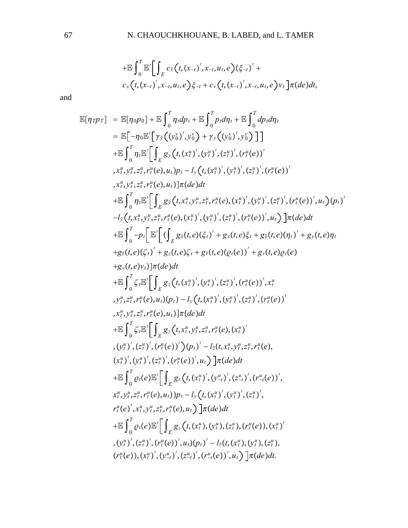$$
+ \mathbb{E} \int_0^T \mathbb{E}' \Big[ \int_E c_{\tilde{x}} \big(t, (x_{-t})', x_{-t}, u_t, e \big) (\xi_{-t})' + c_x \big(t, (x_{-t})', x_{-t}, u_t, e \big) \xi_{-t} + c_y \big(t, (x_{-t})', x_{-t}, u_t, e \big) v_t \Big] \pi(de) dt,
$$

and

$$
\mathbb{E}[\eta_{TP}]\mathbb{E}[\mathbb{E}[\eta_{0}p_{0}] + \mathbb{E}\int_{0}^{T}\eta_{i}dp_{i} + \mathbb{E}\int_{0}^{T}\rho_{i}d\eta_{i} + \mathbb{E}\int_{0}^{T}dp_{i}d\eta_{i} \n= \mathbb{E}[-\eta_{0}\mathbb{E}'[y_{y}(\psi_{0}^{y}),y_{0}^{x}) + y_{y}(\psi_{0}^{y}),y_{0}^{x})]] \n+ \mathbb{E}\int_{0}^{T}\eta_{i}\mathbb{E}'[\int_{E}g_{y}(t,(x_{i}^{w}),(y_{i}^{w}),(\varepsilon_{i}^{w}),(\eta_{i}^{w},(\varepsilon_{i}^{w})) \\ x_{i}^{w},y_{i}^{w},z_{i}^{w},\eta_{i}^{w}(\varepsilon_{i},u_{i})p_{i}-l_{y}(t,(x_{i}^{w}),(y_{i}^{w}),(\varepsilon_{i}^{w}),(\eta_{i}^{w},(\varepsilon_{i}^{w})) \\ x_{i}^{w},y_{i}^{w},z_{i}^{w},\eta_{i}^{w}(\varepsilon_{i},u_{i})]\pi(de)dt \n+ \mathbb{E}\int_{0}^{T}\eta_{i}\mathbb{E}'[\int_{E}g_{y}(t,x_{i}^{w},y_{i}^{w},z_{i}^{w},\eta_{i}^{w}(\varepsilon_{i},x_{i}^{w}),(\eta_{i}^{w}),(\varepsilon_{i}^{w}),(\eta_{i}^{w},(\varepsilon_{i}^{w}),(\eta_{i}^{w},\varepsilon_{i}^{w}))],u_{i})]p_{i}(t) \newline -l_{y}(t,x_{i}^{w},y_{i}^{w},z_{i}^{w},\eta_{i}^{w}(\varepsilon_{i},x_{i}^{w}),(\eta_{i}^{w}),(\eta_{i}^{w}),(\eta_{i}^{w}),(\eta_{i}^{w}),(\eta_{i}^{w}),(\eta_{i}^{w}),(\eta_{i}^{w}),(\eta_{i}^{w}),(\eta_{i}^{w}),(\eta_{i}^{w}),(\eta_{i}^{w}),(\eta_{i}^{w}),(\eta_{i}^{w}),(\eta_{i}^{w}),(\eta_{i}^{w}),(\eta_{i}^{w}),(\eta_{i}^{w}),(\eta_{i}^{w}),(\eta_{i}^{w}),(\eta_{i}^{w}),(\eta_{i}^{w}),(\eta_{i}^{w}),(\
$$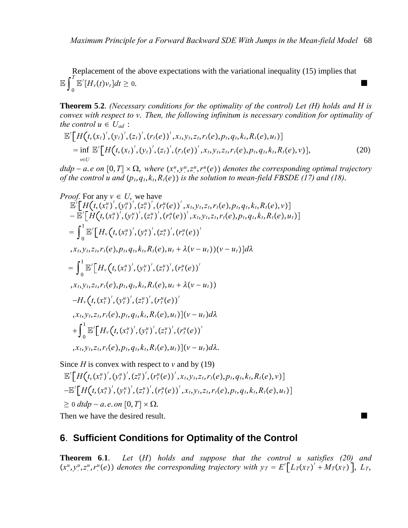Replacement of the above expectations with the variational inequality (15) implies that  $\mathbb{E}\int_{0}^{T}$  $\int_{0}^{T} \mathbb{E}'[H_{\nu}(t)v_t]dt \geq 0.$ 

**Theorem 5**.**2**. *(Necessary conditions for the optimality of the control) Let (H) holds and H is convex with respect to v*. *Then, the following infinitum is necessary condition for optimality of the control*  $u \in U_{ad}$ :

$$
\mathbb{E}'\Big[H(t, (x_t)', (y_t)', (z_t)', (r_t(e))', x_t, y_t, z_t, r_t(e), p_t, q_t, k_t, R_t(e), u_t)\Big]
$$
\n
$$
= \inf_{v \in U} \mathbb{E}'\Big[H(t, (x_t)', (y_t)', (z_t)', (r_t(e))', x_t, y_t, z_t, r_t(e), p_t, q_t, k_t, R_t(e), v)\Big],
$$
\n(20)

 $dtdp - a.e$  on  $[0, T] \times \Omega$ , where  $(x^u, y^u, z^u, r^u(e))$  denotes the corresponding optimal trajectory *of the control u and*  $(p_t, q_t, k_t, R_t(e))$  *is the solution to mean-field FBSDE (17) and (18).* 

Proof. For any 
$$
v \in U
$$
, we have  
\n
$$
\mathbb{E}'[H(t, (x_t^u)', (y_t^u)', (z_t^u)', (r_t^u(e))', x_t, y_t, z_t, r_t(e), p_t, q_t, k_t, R_t(e), v)]
$$
\n
$$
-\mathbb{E}'[H(t, (x_t^u)', (y_t^u)', (z_t^u)', (r_t^u(e))', x_t, y_t, z_t, r_t(e), p_t, q_t, k_t, R_t(e), u_t)]
$$
\n
$$
=\int_0^1 \mathbb{E}'[H_v(t, (x_t^u)', (y_t^u)', (z_t^u)', (r_t^u(e))'
$$
\n
$$
,x_t, y_t, z_t, r_t(e), p_t, q_t, k_t, R_t(e), u_t + \lambda(v - u_t))(v - u_t)]d\lambda
$$
\n
$$
=\int_0^1 \mathbb{E}'[H_v(t, (x_t^u)', (y_t^u)', (z_t^u)', (r_t^u(e))'
$$
\n
$$
,x_t, y_t, z_t, r_t(e), p_t, q_t, k_t, R_t(e), u_t + \lambda(v - u_t))
$$
\n
$$
-H_v(t, (x_t^u)', (y_t^u)', (z_t^u)', (r_t^u(e))'
$$
\n
$$
,x_t, y_t, z_t, r_t(e), p_t, q_t, k_t, R_t(e), u_t)](v - u_t)d\lambda
$$
\n
$$
+\int_0^1 \mathbb{E}'[H_v(t, (x_t^u)', (y_t^u)', (z_t^u)', (r_t^u(e))'
$$
\n
$$
,x_t, y_t, z_t, r_t(e), p_t, q_t, k_t, R_t(e), u_t)](v - u_t)d\lambda.
$$

Since *H* is convex with respect to *v* and by (19)  $\mathbb{E}'\Big[H\big(t, {(x^u_t)}', {(y^u_t)}', {(z^u_t)}', {(r^u_t(e))}', x_t, y_t, z_t, r_t(e), p_t, q_t, k_t, R_t(e), v)\Big]$  $- \mathbb{E}'\big[H\big(t, {(x^u_t)}', {(y^u_t)}', {(z^u_t)}', {(r^u_t(e))}', x_t, y_t, z_t, r_t(e), p_t, q_t, k_t, R_t(e), u_t)\big]$  $\geq 0$  *dtdp* – *a*. *e*. *on* [0, *T*]  $\times \Omega$ .

Then we have the desired result.

# **6**. **Sufficient Conditions for Optimality of the Control**

**Theorem 6.1**. Let (H) holds and suppose that the control u satisfies (20) and  $(x^u, y^u, z^u, r^u(e))$  denotes the corresponding trajectory with  $y_T = E'[L_T(x_T)' + M_T(x_T)]$ ,  $L_T$ ,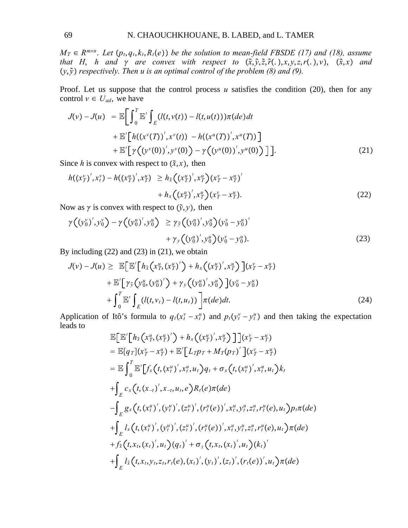$M_T \in R^{m \times n}$ . Let  $(p_t, q_t, k_t, R_t(e))$  be the solution to mean-field FBSDE (17) and (18), assume *that H*, *h* and  $\gamma$  are convex with respect to  $(\tilde{x}, \tilde{y}, \tilde{z}, \tilde{r}(.), x, y, z, r(.), v)$ ,  $(\tilde{x}, x)$  and  $(y, \tilde{y})$  respectively. Then u is an optimal control of the problem  $(8)$  and  $(9)$ .

Proof. Let us suppose that the control process  $u$  satisfies the condition (20), then for any control  $v \in U_{ad}$ , we have

$$
J(v) - J(u) = \mathbb{E}\bigg[\int_0^T \mathbb{E}'\int_E (l(t, v(t)) - l(t, u(t)))\pi(de)dt + \mathbb{E}'\bigg[h((x^v(T))', x^v(t)) - h((x^u(T))', x^u(T))\bigg] + \mathbb{E}'\bigg[\gamma((y^v(0))', y^v(0)) - \gamma((y^u(0))', y^u(0))\bigg]\bigg].
$$
 (21)

Since *h* is convex with respect to  $(\tilde{x}, x)$ , then

$$
h((x_T^{\nu})', x_t^{\nu}) - h((x_T^{\mu})', x_T^{\mu}) \geq h_{\tilde{x}}((x_T^{\mu})', x_T^{\mu})(x_T^{\nu} - x_T^{\mu})' + h_{x}((x_T^{\mu})', x_T^{\mu})(x_T^{\nu} - x_T^{\mu}).
$$
\n(22)

Now as  $\gamma$  is convex with respect to  $(\tilde{y}, y)$ , then

$$
\gamma((y_0^{\nu})', y_0^{\nu}) - \gamma((y_0^{\nu})', y_0^{\nu}) \ge \gamma_{\tilde{y}}((y_0^{\nu})', y_0^{\nu})(y_0^{\nu} - y_0^{\nu})' + \gamma_{y}((y_0^{\nu})', y_0^{\nu})(y_0^{\nu} - y_0^{\nu}).
$$
\n(23)

By including  $(22)$  and  $(23)$  in  $(21)$ , we obtain

$$
J(v) - J(u) \geq \mathbb{E}\big[\mathbb{E}'\big[h_{\tilde{x}}\big(x_T^u, (x_T^u)'\big) + h_x\big((x_T^u)' , x_T^u\big) \big](x_T^v - x_T^u) + \mathbb{E}'\big[\gamma_{\tilde{y}}\big(y_0^u, (y_0^u)'\big) + \gamma_{y}\big((y_0^u)' , y_0^u\big) \big](y_0^v - y_0^u) + \int_0^T \mathbb{E}'\int_E (l(t, v_t) - l(t, u_t)) \bigg] \pi(de) dt.
$$
 (24)

Application of Itô's formula to  $q_t(x_t^v - x_t^u)$  and  $p_t(y_t^v - y_t^u)$  and then taking the expectation leads to

$$
\mathbb{E}\big[\mathbb{E}'\big[h_{\tilde{x}}(x_{T}^{u},(x_{T}^{u})') + h_{x}((x_{T}^{u})',x_{T}^{u})\big]\big](x_{T}^{v}-x_{T}^{u})\n= \mathbb{E}[q_{T}](x_{T}^{v}-x_{T}^{u}) + \mathbb{E}'\big[L_{T}p_{T} + M_{T}(p_{T})'\big](x_{T}^{v}-x_{T}^{u})\n= \mathbb{E}\int_{0}^{T}\mathbb{E}'\big[f_{x}(t,(x_{t}^{u})',x_{t}^{u},u_{t})q_{t} + \sigma_{x}(t,(x_{t}^{u})',x_{t}^{u},u_{t})k_{t}\n+ \int_{E} c_{x}(t,(x_{-t})',x_{-t},u_{t},e)R_{t}(e)\pi(de)\n- \int_{E} g_{x}(t,(x_{t}^{u})',(y_{t}^{u})',(z_{t}^{u})',(r_{t}^{u}(e))',x_{t}^{u},y_{t}^{u},z_{t}^{u},r_{t}^{u}(e),u_{t})p_{t}\pi(de)\n+ \int_{E} l_{x}(t,(x_{t}^{u})',(y_{t}^{u})',(z_{t}^{u})',(r_{t}^{u}(e))',x_{t}^{u},y_{t}^{u},z_{t}^{u},r_{t}^{u}(e),u_{t})\pi(de)\n+ f_{\tilde{x}}(t,x_{t},(x_{t})',u_{t})(q_{t})' + \sigma_{\tilde{x}}(t,x_{t},(x_{t})',u_{t})(k_{t})'\n+ \int_{E} l_{\tilde{x}}(t,x_{t},y_{t},z_{t},r_{t}(e),(x_{t})',(y_{t})',(z_{t})',(r_{t}(e))',u_{t})\pi(de)\n+ f_{\tilde{x}}(t,x_{t},y_{t},z_{t},r_{t}(e),(x_{t})',(y_{t})',(z_{t})',(r_{t}(e))',u_{t})\pi(de)\n+ f_{\tilde{x}}(t,x_{t},y_{t},z_{t},r_{t}(e),(x_{t})',(y_{t})',(z_{t})',(r_{t}(e))',u_{t})\pi(de)\n+ f_{\tilde{x}}(t,x_{t},y_{t},z_{t},r_{t}(e),(x_{t})',(y_{t})',(z_{t})',(r_{t}(e))',u_{
$$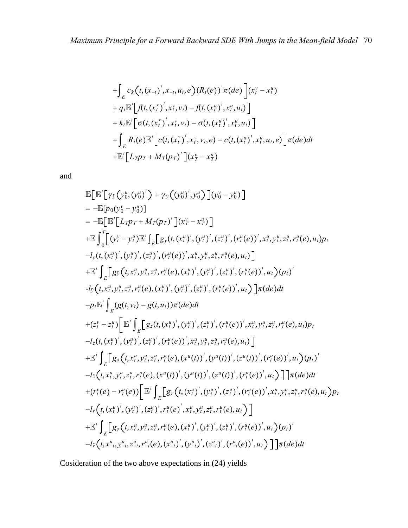$$
+ \int_{E} c_{\tilde{x}}(t, (x_{-t})', x_{-t}, u_{t}, e) (R_{t}(e)) \pi(de) \pi(x_{t}^{v} - x_{t}^{u}) + q_{t} \mathbb{E}' \Big[ f(t, (x_{t}^{v})', x_{t}^{v}, v_{t}) - f(t, (x_{t}^{u})', x_{t}^{u}, u_{t}) \Big] + k_{t} \mathbb{E}' \Big[ \sigma(t, (x_{t}^{v})', x_{t}^{v}, v_{t}) - \sigma(t, (x_{t}^{u})', x_{t}^{u}, u_{t}) \Big] + \int_{E} R_{t}(e) \mathbb{E}' \Big[ c(t, (x_{t}^{v})', x_{t}^{v}, v_{t}, e) - c(t, (x_{t}^{u})', x_{t}^{u}, u_{t}, e) \Big] \pi(de) dt + \mathbb{E}' \Big[ L_{T} p_{T} + M_{T}(p_{T}) \Big] (x_{T}^{v} - x_{T}^{u})
$$

and

$$
\mathbb{E}\left[\mathbb{E}'\left[\gamma_{\tilde{y}}(y_{0}^u,(y_{0}^u)') + \gamma_{y}((y_{0}^u)',y_{0}^u)\right](y_{0}^v - y_{0}^u)\right] \n= -\mathbb{E}\left[p_{0}(y_{0}^v - y_{0}^u)\right] \n+ \mathbb{E}\int_{0}^{T}\left[L_{T}p_{T} + M_{T}(p_{T})'\right](x_{T}^u - x_{T}^u)\right] \n+ \mathbb{E}\int_{0}^{T}\left[(y_{t}^v - y_{t}^u)\mathbb{E}'\int_{E}\left[g_{y}(t, (x_{t}^u)', (y_{t}^u)', (z_{t}^u)', (r_{t}^u(e))', x_{t}^u, y_{t}^u, z_{t}^u, r_{t}^u(e), u_{t})p_{t}\right] \n- l_{y}(t, (x_{t}^u)', (y_{t}^u)', (z_{t}^u)', (r_{t}^u(e))', x_{t}^u, y_{t}^u, z_{t}^u, r_{t}^u(e), u_{t})\right] \n+ \mathbb{E}'\int_{E}\left[g_{\tilde{y}}(t, x_{t}^u, y_{t}^u, z_{t}^u, r_{t}^u(e), (x_{t}^u)', (y_{t}^u)', (z_{t}^u)', (r_{t}^u(e))', u_{t})\right](p_{t})' \n- l_{y}(t, x_{t}^u, y_{t}^u, z_{t}^u, r_{t}^u(e), (x_{t}^u)', (y_{t}^u)', (z_{t}^u)', (r_{t}^u(e))', u_{t})\right] \pi(de)dt \n+ p_{t}\mathbb{E}'\int_{E}\left(g(t, v_{t}) - g(t, u_{t}))\pi(de)dt \n+ (z_{t}^v - z_{t}^u)\left[\mathbb{E}'\int_{E}\left[g_{z}(t, (x_{t}^u)', (y_{t}^u)', (z_{t}^u)', (r_{t}^u(e))', x_{t}^u, y_{t}^u, z_{t}^u, r_{t}^u(e), u_{t})p_{t}\right] \n- l_{z}(t, (x_{t}^u)', (y_{t}^u)', (z_{t}^u)', (y_{t}^u)', (z_{
$$

Cosideration of the two above expectations in (24) yields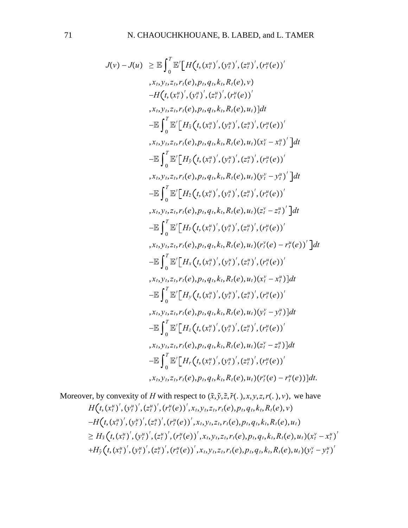$$
J(v) - J(u) \geq \mathbb{E} \int_{0}^{T} \mathbb{E}'[H(t, (x_{t}^{u})', (y_{t}^{u})', (z_{t}^{u})', (r_{t}^{u}(e))'
$$
  
\n
$$
x_{t}, y_{t}, z_{t}, r_{t}(e), p_{t}, q_{t}, k_{t}, R_{t}(e), v)
$$
  
\n
$$
-H(t, (x_{t}^{u})', (y_{t}^{u})', (z_{t}^{u})', (r_{t}^{u}(e))'
$$
  
\n
$$
x_{t}, y_{t}, z_{t}, r_{t}(e), p_{t}, q_{t}, k_{t}, R_{t}(e), u_{t})]dt
$$
  
\n
$$
-\mathbb{E} \int_{0}^{T} \mathbb{E}'[H_{\tilde{x}}(t, (x_{t}^{u})', (y_{t}^{u})', (z_{t}^{u})', (r_{t}^{u}(e))'
$$
  
\n
$$
x_{t}, y_{t}, z_{t}, r_{t}(e), p_{t}, q_{t}, k_{t}, R_{t}(e), u_{t})(x_{t}^{v} - x_{t}^{u})']dt
$$
  
\n
$$
-\mathbb{E} \int_{0}^{T} \mathbb{E}'[H_{\tilde{y}}(t, (x_{t}^{u})', (y_{t}^{u})', (z_{t}^{u})', (r_{t}^{u}(e))'
$$
  
\n
$$
x_{t}, y_{t}, z_{t}, r_{t}(e), p_{t}, q_{t}, k_{t}, R_{t}(e), u_{t})(y_{t}^{v} - y_{t}^{u})']dt
$$
  
\n
$$
-\mathbb{E} \int_{0}^{T} \mathbb{E}'[H_{\tilde{x}}(t, (x_{t}^{u})', (y_{t}^{u})', (z_{t}^{u})', (r_{t}^{u}(e))'
$$
  
\n
$$
x_{t}, y_{t}, z_{t}, r_{t}(e), p_{t}, q_{t}, k_{t}, R_{t}(e), u_{t})(z_{t}^{v} - z_{t}^{u})']dt
$$
  
\n
$$
-\mathbb{E} \int_{0}^{T} \mathbb{E}'[H_{\tilde{x}}(t, (x_{t}^{u})', (y_{t}^{u})', (z_{t}^{u})', (r_{t}^{u}(e))'
$$

Moreover, by convexity of H with respect to  $(\tilde{x}, \tilde{y}, \tilde{z}, \tilde{r}(.), x, y, z, r(.)$ , we have  $H(t, (x_t^u)', (y_t^u)', (z_t^u)', (r_t^u(e))', x_t, y_t, z_t, r_t(e), p_t, q_t, k_t, R_t(e), v)$  $-H(t, (x_t^u)', (y_t^u)', (z_t^u)', (r_t^u(e))', x_t, y_t, z_t, r_t(e), p_t, q_t, k_t, R_t(e), u_t)$  $\geq H_{\tilde{x}}(t, (x_t^u)', (y_t^u)', (z_t^u)', (r_t^u(e))', x_t, y_t, z_t, r_t(e), p_t, q_t, k_t, R_t(e), u_t)(x_t^v - x_t^u)'$  $+H_{\tilde{y}}(t,(x_t^u)',(y_t^u)',(z_t^u)',(r_t^u(e))',x_t,y_t,z_t,r_t(e),p_t,q_t,k_t,R_t(e),u_t)(y_t^v-y_t^u)'$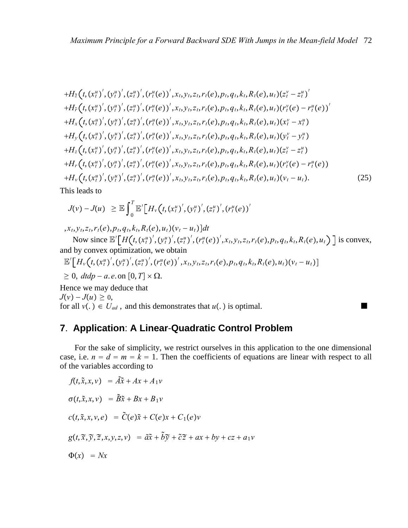+
$$
H_{\tilde{z}}(t, (x_t^u)', (y_t^u)', (z_t^u)', (r_t^u(e))', x_t, y_t, z_t, r_t(e), p_t, q_t, k_t, R_t(e), u_t)(z_t^v - z_t^u)'
$$
  
+ $H_{\tilde{r}}(t, (x_t^u)', (y_t^u)', (z_t^u)', (r_t^u(e))', x_t, y_t, z_t, r_t(e), p_t, q_t, k_t, R_t(e), u_t)(r_t^v(e) - r_t^u(e))'$   
+ $H_x(t, (x_t^u)', (y_t^u)', (z_t^u)', (r_t^u(e))', x_t, y_t, z_t, r_t(e), p_t, q_t, k_t, R_t(e), u_t)(x_t^v - x_t^u)$   
+ $H_y(t, (x_t^u)', (y_t^u)', (z_t^u)', (r_t^u(e))', x_t, y_t, z_t, r_t(e), p_t, q_t, k_t, R_t(e), u_t)(y_t^v - y_t^u)$   
+ $H_z(t, (x_t^u)', (y_t^u)', (z_t^u)', (r_t^u(e))', x_t, y_t, z_t, r_t(e), p_t, q_t, k_t, R_t(e), u_t)(z_t^v - z_t^u)$   
+ $H_r(t, (x_t^u)', (y_t^u)', (z_t^u)', (r_t^u(e))', x_t, y_t, z_t, r_t(e), p_t, q_t, k_t, R_t(e), u_t)(r_t^v(e) - r_t^u(e))$   
+ $H_y(t, (x_t^u)', (y_t^u)', (z_t^u)', (r_t^u(e))', x_t, y_t, z_t, r_t(e), p_t, q_t, k_t, R_t(e), u_t)(v_t - u_t).$  (25)

This leads to

$$
J(v) - J(u) \geq \mathbb{E} \int_0^T \mathbb{E}' \Big[ H_v(t, (x_t^u)', (y_t^u)', (z_t^u)', (r_t^u(e))) \Big]
$$

 $(x_t, y_t, z_t, r_t(e), p_t, q_t, k_t, R_t(e), u_t)(v_t - u_t)$ 

Now since  $\mathbb{E}'\Big[H(t,(x_t^u)',(y_t^u)',(z_t^u)',(r_t^u(e))',x_t,y_t,z_t,r_t(e),p_t,q_t,k_t,R_t(e),u_t)\Big]$  is convex, and by convex optimization, we obtain

 $\mathbb{E}'\Big[H_{\nu}\big(t,\left(x_{t}^{u}\right)',\left(y_{t}^{u}\right)',\left(z_{t}^{u}\right)',\left(r_{t}^{u}(e)\right)',x_{t},y_{t},z_{t},r_{t}(e),p_{t},q_{t},k_{t},R_{t}(e),u_{t}\big)(v_{t}-u_{t})\Big]$ 

 $\geq 0$ ,  $dtdp - a.e.$  on  $[0, T] \times \Omega$ .

Hence we may deduce that  $J(v) - J(u) \geq 0$ , for all  $v(.) \in U_{ad}$ , and this demonstrates that  $u(.)$  is optimal.

## **7**. **Application**: **A Linear**-**Quadratic Control Problem**

For the sake of simplicity, we restrict ourselves in this application to the one dimensional case, i.e.  $n = d = m = k = 1$ . Then the coefficients of equations are linear with respect to all of the variables according to

$$
f(t, \tilde{x}, x, v) = A\tilde{x} + Ax + A_1v
$$
  
\n
$$
\sigma(t, \tilde{x}, x, v) = \tilde{B}\tilde{x} + Bx + B_1v
$$
  
\n
$$
c(t, \tilde{x}, x, v, e) = \tilde{C}(e)\tilde{x} + C(e)x + C_1(e)v
$$
  
\n
$$
g(t, \tilde{x}, \tilde{y}, \tilde{z}, x, y, z, v) = \tilde{a}\tilde{x} + \tilde{b}\tilde{y} + \tilde{c}\tilde{z} + ax + by + cz + a_1v
$$
  
\n
$$
\Phi(x) = Nx
$$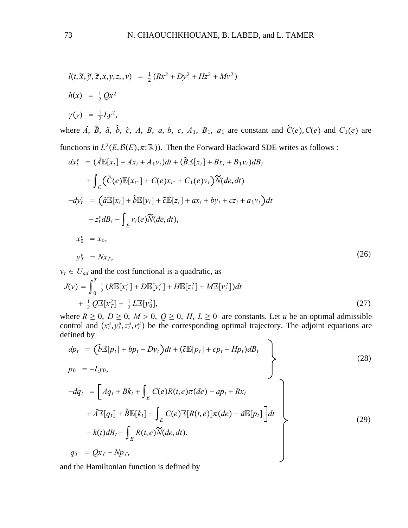$$
l(t, \tilde{x}, \tilde{y}, \tilde{z}, x, y, z, v) = \frac{1}{2} (Rx^{2} + Dy^{2} + Hz^{2} + Mv^{2})
$$
  
\n
$$
h(x) = \frac{1}{2} Qx^{2}
$$
  
\n
$$
\gamma(y) = \frac{1}{2} Ly^{2},
$$

where  $\tilde{A}$ ,  $\tilde{B}$ ,  $\tilde{a}$ ,  $\tilde{b}$ ,  $\tilde{c}$ ,  $A$ ,  $B$ ,  $a$ ,  $b$ ,  $c$ ,  $A_1$ ,  $B_1$ ,  $a_1$  are constant and  $\tilde{C}(e)$ ,  $C(e)$  and  $C_1(e)$  are functions in  $L^2(E, \mathcal{B}(E), \pi; \mathbb{R})$ ). Then the Forward Backward SDE writes as follows:

$$
dx_t^v = (\tilde{A}\mathbb{E}[x_t] + Ax_t + A_1v_t)dt + (\tilde{B}\mathbb{E}[x_t] + Bx_t + B_1v_t)dB_t
$$
  
+ 
$$
\int_E (\tilde{C}(e)\mathbb{E}[x_t] + C(e)x_t + C_1(e)v_t)\tilde{N}(de, dt)
$$
  
-
$$
dy_t^v = (\tilde{a}\mathbb{E}[x_t] + \tilde{b}\mathbb{E}[y_t] + \tilde{c}\mathbb{E}[z_t] + ax_t + by_t + cz_t + a_1v_t)dt
$$
  
-
$$
z_t^v dB_t - \int_E r_t(e)\tilde{N}(de, dt),
$$
  

$$
x_0^v = x_0,
$$
  

$$
y_T^v = Nx_T,
$$
 (26)

 $v_t \in U_{ad}$  and the cost functional is a quadratic, as

$$
J(v) = \int_0^1 \frac{1}{2} (R \mathbb{E}[x_i^2] + D \mathbb{E}[y_i^2] + H \mathbb{E}[z_i^2] + M \mathbb{E}[v_i^2]) dt
$$
  
+  $\frac{1}{2} Q \mathbb{E}[x_i^2] + \frac{1}{2} L \mathbb{E}[y_0^2],$  (27)

where  $R \ge 0$ ,  $D \ge 0$ ,  $M > 0$ ,  $Q \ge 0$ ,  $H, L \ge 0$  are constants. Let u be an optimal admissible control and  $(x_t^u, y_t^u, z_t^u, r_t^u)$  be the corresponding optimal trajectory. The adjoint equations are defined by  $\overline{\phantom{0}}$ 

$$
dp_{t} = (\tilde{b}\mathbb{E}[p_{t}] + bp_{t} - Dy_{t})dt + (\tilde{c}\mathbb{E}[p_{t}] + cp_{t} - Hp_{t})dB_{t}
$$
  
\n
$$
p_{0} = -Ly_{0},
$$
  
\n
$$
-dq_{t} = \left[Aq_{t} + Bk_{t} + \int_{E} C(e)R(t, e)\pi(de) - ap_{t} + Rx_{t}
$$
  
\n
$$
+ \tilde{A}\mathbb{E}[q_{t}] + \tilde{B}\mathbb{E}[k_{t}] + \int_{E} C(e)\mathbb{E}[R(t, e)]\pi(de) - \tilde{a}\mathbb{E}[p_{t}] \right]dt
$$
  
\n
$$
-k(t)dB_{t} - \int_{E} R(t, e)\tilde{N}(de, dt).
$$
  
\n
$$
q_{T} = Qx_{T} - Np_{T},
$$
  
\n(29)

and the Hamiltonian function is defined by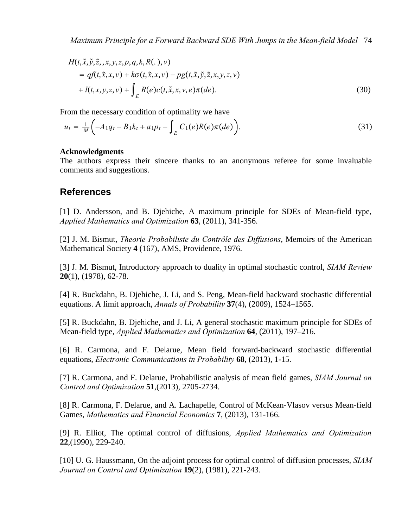$$
H(t, \tilde{x}, \tilde{y}, \tilde{z}, x, y, z, p, q, k, R(.), v)
$$
  
=  $qf(t, \tilde{x}, x, v) + k\sigma(t, \tilde{x}, x, v) - pg(t, \tilde{x}, \tilde{y}, \tilde{z}, x, y, z, v)$   
+  $l(t, x, y, z, v) + \int_{E} R(e)c(t, \tilde{x}, x, v, e)\pi(de).$  (30)

From the necessary condition of optimality we have

$$
u_t = \frac{1}{M} \left( -A_1 q_t - B_1 k_t + a_1 p_t - \int_E C_1(e) R(e) \pi(de) \right). \tag{31}
$$

### **Acknowledgments**

The authors express their sincere thanks to an anonymous referee for some invaluable comments and suggestions.

## **References**

[1] D. Andersson, and B. Djehiche, A maximum principle for SDEs of Mean-field type, *Applied Mathematics and Optimization* **63**, (2011), 341-356.

[2] J. M. Bismut, *Theorie Probabiliste du Contrôle des Diffusions*, Memoirs of the American Mathematical Society **4** (167), AMS, Providence, 1976.

[3] J. M. Bismut, Introductory approach to duality in optimal stochastic control, *SIAM Review* **20**(1), (1978), 62-78.

[4] R. Buckdahn, B. Djehiche, J. Li, and S. Peng, Mean-field backward stochastic differential equations. A limit approach, *Annals of Probability* **37**(4), (2009), 1524–1565.

[5] R. Buckdahn, B. Djehiche, and J. Li, A general stochastic maximum principle for SDEs of Mean-field type, *Applied Mathematics and Optimization* **64**, (2011), 197–216.

[6] R. Carmona, and F. Delarue, Mean field forward-backward stochastic differential equations, *Electronic Communications in Probability* **68**, (2013), 1-15.

[7] R. Carmona, and F. Delarue, Probabilistic analysis of mean field games, *SIAM Journal on Control and Optimization* **51**,(2013), 2705-2734.

[8] R. Carmona, F. Delarue, and A. Lachapelle, Control of McKean-Vlasov versus Mean-field Games, *Mathematics and Financial Economics* **7**, (2013), 131-166.

[9] R. Elliot, The optimal control of diffusions, *Applied Mathematics and Optimization* **22**,(1990), 229-240.

[10] U. G. Haussmann, On the adjoint process for optimal control of diffusion processes, *SIAM Journal on Control and Optimization* **19**(2), (1981), 221-243.